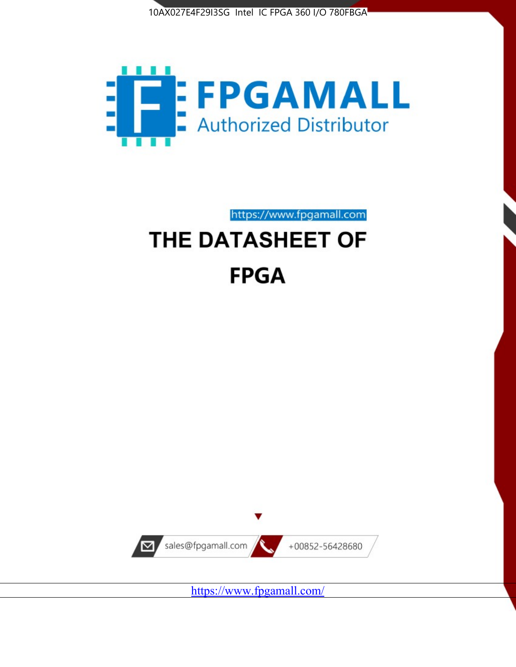



# https://www.fpgamall.com THE DATASHEET OF **FPGA**



<https://www.fpgamall.com/>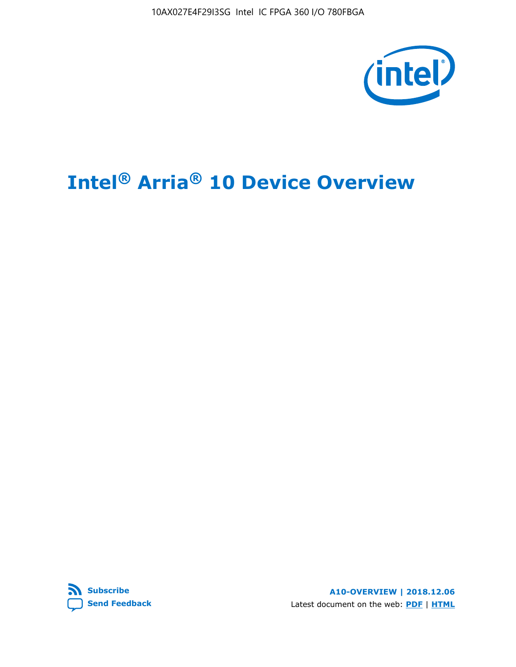10AX027E4F29I3SG Intel IC FPGA 360 I/O 780FBGA



# **Intel® Arria® 10 Device Overview**



**A10-OVERVIEW | 2018.12.06** Latest document on the web: **[PDF](https://www.intel.com/content/dam/www/programmable/us/en/pdfs/literature/hb/arria-10/a10_overview.pdf)** | **[HTML](https://www.intel.com/content/www/us/en/programmable/documentation/sam1403480274650.html)**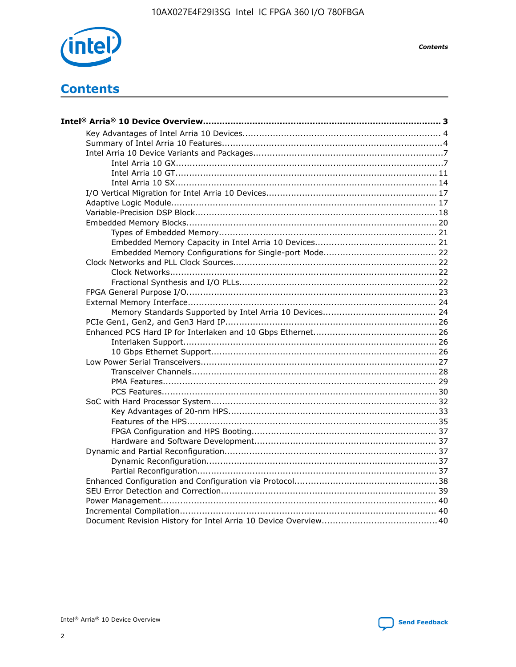

**Contents** 

# **Contents**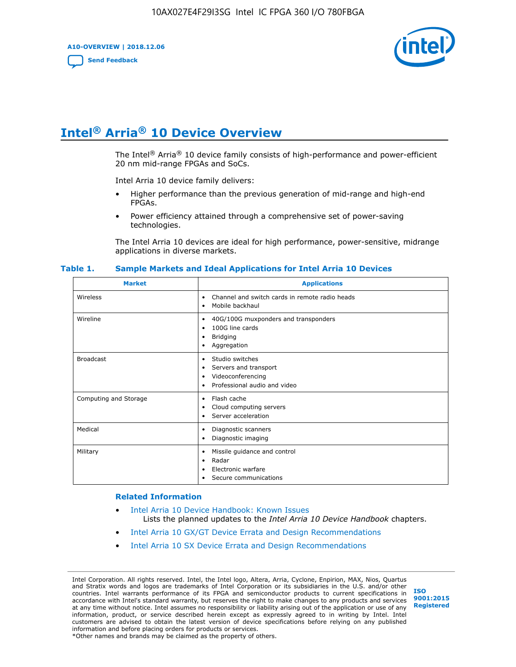**A10-OVERVIEW | 2018.12.06**

**[Send Feedback](mailto:FPGAtechdocfeedback@intel.com?subject=Feedback%20on%20Intel%20Arria%2010%20Device%20Overview%20(A10-OVERVIEW%202018.12.06)&body=We%20appreciate%20your%20feedback.%20In%20your%20comments,%20also%20specify%20the%20page%20number%20or%20paragraph.%20Thank%20you.)**



# **Intel® Arria® 10 Device Overview**

The Intel<sup>®</sup> Arria<sup>®</sup> 10 device family consists of high-performance and power-efficient 20 nm mid-range FPGAs and SoCs.

Intel Arria 10 device family delivers:

- Higher performance than the previous generation of mid-range and high-end FPGAs.
- Power efficiency attained through a comprehensive set of power-saving technologies.

The Intel Arria 10 devices are ideal for high performance, power-sensitive, midrange applications in diverse markets.

| <b>Market</b>         | <b>Applications</b>                                                                                               |
|-----------------------|-------------------------------------------------------------------------------------------------------------------|
| Wireless              | Channel and switch cards in remote radio heads<br>٠<br>Mobile backhaul<br>٠                                       |
| Wireline              | 40G/100G muxponders and transponders<br>٠<br>100G line cards<br>٠<br><b>Bridging</b><br>٠<br>Aggregation<br>٠     |
| <b>Broadcast</b>      | Studio switches<br>٠<br>Servers and transport<br>٠<br>Videoconferencing<br>٠<br>Professional audio and video<br>٠ |
| Computing and Storage | Flash cache<br>٠<br>Cloud computing servers<br>٠<br>Server acceleration<br>٠                                      |
| Medical               | Diagnostic scanners<br>٠<br>Diagnostic imaging<br>٠                                                               |
| Military              | Missile guidance and control<br>٠<br>Radar<br>٠<br>Electronic warfare<br>٠<br>Secure communications<br>٠          |

#### **Table 1. Sample Markets and Ideal Applications for Intel Arria 10 Devices**

#### **Related Information**

- [Intel Arria 10 Device Handbook: Known Issues](http://www.altera.com/support/kdb/solutions/rd07302013_646.html) Lists the planned updates to the *Intel Arria 10 Device Handbook* chapters.
- [Intel Arria 10 GX/GT Device Errata and Design Recommendations](https://www.intel.com/content/www/us/en/programmable/documentation/agz1493851706374.html#yqz1494433888646)
- [Intel Arria 10 SX Device Errata and Design Recommendations](https://www.intel.com/content/www/us/en/programmable/documentation/cru1462832385668.html#cru1462832558642)

Intel Corporation. All rights reserved. Intel, the Intel logo, Altera, Arria, Cyclone, Enpirion, MAX, Nios, Quartus and Stratix words and logos are trademarks of Intel Corporation or its subsidiaries in the U.S. and/or other countries. Intel warrants performance of its FPGA and semiconductor products to current specifications in accordance with Intel's standard warranty, but reserves the right to make changes to any products and services at any time without notice. Intel assumes no responsibility or liability arising out of the application or use of any information, product, or service described herein except as expressly agreed to in writing by Intel. Intel customers are advised to obtain the latest version of device specifications before relying on any published information and before placing orders for products or services. \*Other names and brands may be claimed as the property of others.

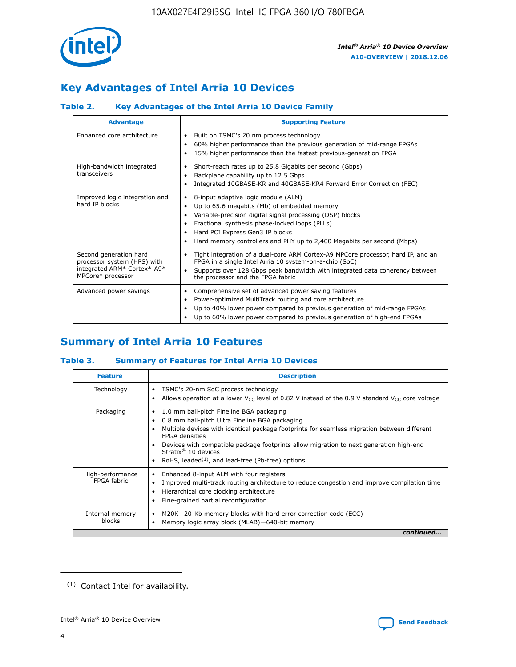

# **Key Advantages of Intel Arria 10 Devices**

## **Table 2. Key Advantages of the Intel Arria 10 Device Family**

| <b>Advantage</b>                                                                                          | <b>Supporting Feature</b>                                                                                                                                                                                                                                                                                                |
|-----------------------------------------------------------------------------------------------------------|--------------------------------------------------------------------------------------------------------------------------------------------------------------------------------------------------------------------------------------------------------------------------------------------------------------------------|
| Enhanced core architecture                                                                                | Built on TSMC's 20 nm process technology<br>٠<br>60% higher performance than the previous generation of mid-range FPGAs<br>٠<br>15% higher performance than the fastest previous-generation FPGA<br>٠                                                                                                                    |
| High-bandwidth integrated<br>transceivers                                                                 | Short-reach rates up to 25.8 Gigabits per second (Gbps)<br>٠<br>Backplane capability up to 12.5 Gbps<br>٠<br>Integrated 10GBASE-KR and 40GBASE-KR4 Forward Error Correction (FEC)<br>٠                                                                                                                                   |
| Improved logic integration and<br>hard IP blocks                                                          | 8-input adaptive logic module (ALM)<br>٠<br>Up to 65.6 megabits (Mb) of embedded memory<br>٠<br>Variable-precision digital signal processing (DSP) blocks<br>Fractional synthesis phase-locked loops (PLLs)<br>Hard PCI Express Gen3 IP blocks<br>Hard memory controllers and PHY up to 2,400 Megabits per second (Mbps) |
| Second generation hard<br>processor system (HPS) with<br>integrated ARM* Cortex*-A9*<br>MPCore* processor | Tight integration of a dual-core ARM Cortex-A9 MPCore processor, hard IP, and an<br>٠<br>FPGA in a single Intel Arria 10 system-on-a-chip (SoC)<br>Supports over 128 Gbps peak bandwidth with integrated data coherency between<br>$\bullet$<br>the processor and the FPGA fabric                                        |
| Advanced power savings                                                                                    | Comprehensive set of advanced power saving features<br>٠<br>Power-optimized MultiTrack routing and core architecture<br>٠<br>Up to 40% lower power compared to previous generation of mid-range FPGAs<br>Up to 60% lower power compared to previous generation of high-end FPGAs                                         |

# **Summary of Intel Arria 10 Features**

## **Table 3. Summary of Features for Intel Arria 10 Devices**

| <b>Feature</b>                  | <b>Description</b>                                                                                                                                                                                                                                                                                                                                                                                 |
|---------------------------------|----------------------------------------------------------------------------------------------------------------------------------------------------------------------------------------------------------------------------------------------------------------------------------------------------------------------------------------------------------------------------------------------------|
| Technology                      | TSMC's 20-nm SoC process technology<br>Allows operation at a lower $V_{\text{CC}}$ level of 0.82 V instead of the 0.9 V standard $V_{\text{CC}}$ core voltage                                                                                                                                                                                                                                      |
| Packaging                       | 1.0 mm ball-pitch Fineline BGA packaging<br>٠<br>0.8 mm ball-pitch Ultra Fineline BGA packaging<br>Multiple devices with identical package footprints for seamless migration between different<br><b>FPGA</b> densities<br>Devices with compatible package footprints allow migration to next generation high-end<br>Stratix $@10$ devices<br>RoHS, leaded $(1)$ , and lead-free (Pb-free) options |
| High-performance<br>FPGA fabric | Enhanced 8-input ALM with four registers<br>Improved multi-track routing architecture to reduce congestion and improve compilation time<br>Hierarchical core clocking architecture<br>Fine-grained partial reconfiguration                                                                                                                                                                         |
| Internal memory<br>blocks       | M20K-20-Kb memory blocks with hard error correction code (ECC)<br>Memory logic array block (MLAB)-640-bit memory                                                                                                                                                                                                                                                                                   |
|                                 | continued                                                                                                                                                                                                                                                                                                                                                                                          |



<sup>(1)</sup> Contact Intel for availability.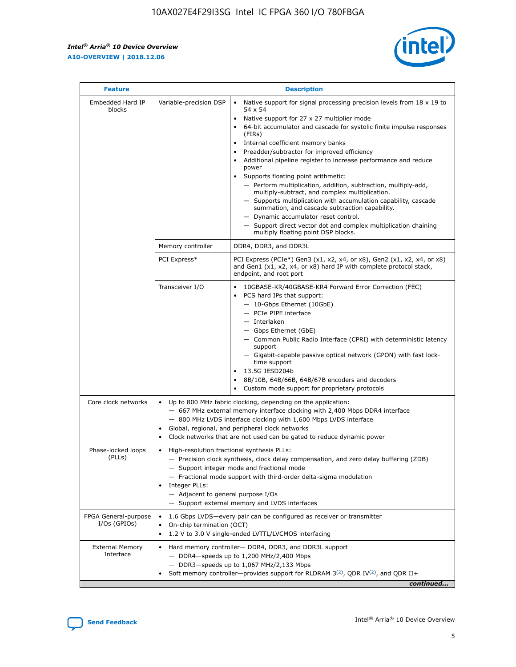$\mathsf{r}$ 



| <b>Feature</b>                         | <b>Description</b>                                                                                |                                                                                                                                                                                                                                                                                                                                                                                                                                                                                                                                                                                                                                                                                                                                                                                                                                        |  |  |  |  |  |
|----------------------------------------|---------------------------------------------------------------------------------------------------|----------------------------------------------------------------------------------------------------------------------------------------------------------------------------------------------------------------------------------------------------------------------------------------------------------------------------------------------------------------------------------------------------------------------------------------------------------------------------------------------------------------------------------------------------------------------------------------------------------------------------------------------------------------------------------------------------------------------------------------------------------------------------------------------------------------------------------------|--|--|--|--|--|
| Embedded Hard IP<br>blocks             | Variable-precision DSP                                                                            | Native support for signal processing precision levels from $18 \times 19$ to<br>54 x 54<br>Native support for 27 x 27 multiplier mode<br>64-bit accumulator and cascade for systolic finite impulse responses<br>(FIRs)<br>Internal coefficient memory banks<br>$\bullet$<br>Preadder/subtractor for improved efficiency<br>Additional pipeline register to increase performance and reduce<br>power<br>Supports floating point arithmetic:<br>- Perform multiplication, addition, subtraction, multiply-add,<br>multiply-subtract, and complex multiplication.<br>- Supports multiplication with accumulation capability, cascade<br>summation, and cascade subtraction capability.<br>- Dynamic accumulator reset control.<br>- Support direct vector dot and complex multiplication chaining<br>multiply floating point DSP blocks. |  |  |  |  |  |
|                                        | Memory controller                                                                                 | DDR4, DDR3, and DDR3L                                                                                                                                                                                                                                                                                                                                                                                                                                                                                                                                                                                                                                                                                                                                                                                                                  |  |  |  |  |  |
|                                        | PCI Express*                                                                                      | PCI Express (PCIe*) Gen3 (x1, x2, x4, or x8), Gen2 (x1, x2, x4, or x8)<br>and Gen1 (x1, x2, x4, or x8) hard IP with complete protocol stack,<br>endpoint, and root port                                                                                                                                                                                                                                                                                                                                                                                                                                                                                                                                                                                                                                                                |  |  |  |  |  |
|                                        | Transceiver I/O                                                                                   | 10GBASE-KR/40GBASE-KR4 Forward Error Correction (FEC)<br>PCS hard IPs that support:<br>- 10-Gbps Ethernet (10GbE)<br>- PCIe PIPE interface<br>- Interlaken<br>- Gbps Ethernet (GbE)<br>- Common Public Radio Interface (CPRI) with deterministic latency<br>support<br>- Gigabit-capable passive optical network (GPON) with fast lock-<br>time support<br>13.5G JESD204b<br>8B/10B, 64B/66B, 64B/67B encoders and decoders<br>Custom mode support for proprietary protocols                                                                                                                                                                                                                                                                                                                                                           |  |  |  |  |  |
| Core clock networks                    | $\bullet$<br>$\bullet$                                                                            | Up to 800 MHz fabric clocking, depending on the application:<br>- 667 MHz external memory interface clocking with 2,400 Mbps DDR4 interface<br>- 800 MHz LVDS interface clocking with 1,600 Mbps LVDS interface<br>Global, regional, and peripheral clock networks<br>Clock networks that are not used can be gated to reduce dynamic power                                                                                                                                                                                                                                                                                                                                                                                                                                                                                            |  |  |  |  |  |
| Phase-locked loops<br>(PLLs)           | High-resolution fractional synthesis PLLs:<br>Integer PLLs:<br>- Adjacent to general purpose I/Os | - Precision clock synthesis, clock delay compensation, and zero delay buffering (ZDB)<br>- Support integer mode and fractional mode<br>- Fractional mode support with third-order delta-sigma modulation<br>- Support external memory and LVDS interfaces                                                                                                                                                                                                                                                                                                                                                                                                                                                                                                                                                                              |  |  |  |  |  |
| FPGA General-purpose<br>$I/Os$ (GPIOs) | On-chip termination (OCT)                                                                         | 1.6 Gbps LVDS—every pair can be configured as receiver or transmitter<br>1.2 V to 3.0 V single-ended LVTTL/LVCMOS interfacing                                                                                                                                                                                                                                                                                                                                                                                                                                                                                                                                                                                                                                                                                                          |  |  |  |  |  |
| <b>External Memory</b><br>Interface    |                                                                                                   | Hard memory controller- DDR4, DDR3, and DDR3L support<br>$-$ DDR4 $-$ speeds up to 1,200 MHz/2,400 Mbps<br>$-$ DDR3-speeds up to 1,067 MHz/2,133 Mbps<br>Soft memory controller—provides support for RLDRAM $3^{(2)}$ , QDR IV $(2^2)$ , and QDR II+<br>continued                                                                                                                                                                                                                                                                                                                                                                                                                                                                                                                                                                      |  |  |  |  |  |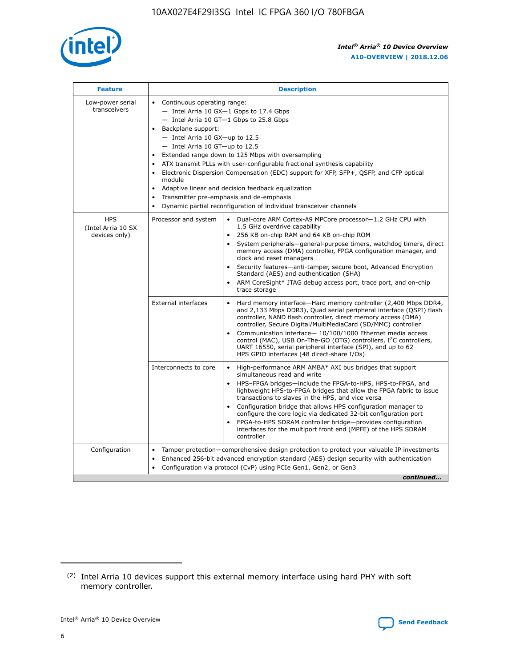

| <b>Feature</b>                                    | <b>Description</b>                                                                                                                                                                                                                                                                                                                                                                                                                                                                                                                                                                                                                                                        |
|---------------------------------------------------|---------------------------------------------------------------------------------------------------------------------------------------------------------------------------------------------------------------------------------------------------------------------------------------------------------------------------------------------------------------------------------------------------------------------------------------------------------------------------------------------------------------------------------------------------------------------------------------------------------------------------------------------------------------------------|
| Low-power serial<br>transceivers                  | • Continuous operating range:<br>- Intel Arria 10 GX-1 Gbps to 17.4 Gbps<br>$-$ Intel Arria 10 GT $-1$ Gbps to 25.8 Gbps<br>Backplane support:<br>$\bullet$<br>$-$ Intel Arria 10 GX-up to 12.5<br>$-$ Intel Arria 10 GT-up to 12.5<br>Extended range down to 125 Mbps with oversampling<br>ATX transmit PLLs with user-configurable fractional synthesis capability<br>Electronic Dispersion Compensation (EDC) support for XFP, SFP+, OSFP, and CFP optical<br>module<br>Adaptive linear and decision feedback equalization<br>$\bullet$<br>Transmitter pre-emphasis and de-emphasis<br>$\bullet$<br>Dynamic partial reconfiguration of individual transceiver channels |
| <b>HPS</b><br>(Intel Arria 10 SX<br>devices only) | Dual-core ARM Cortex-A9 MPCore processor-1.2 GHz CPU with<br>Processor and system<br>$\bullet$<br>1.5 GHz overdrive capability<br>256 KB on-chip RAM and 64 KB on-chip ROM<br>System peripherals-general-purpose timers, watchdog timers, direct<br>memory access (DMA) controller, FPGA configuration manager, and<br>clock and reset managers<br>• Security features—anti-tamper, secure boot, Advanced Encryption<br>Standard (AES) and authentication (SHA)<br>ARM CoreSight* JTAG debug access port, trace port, and on-chip<br>$\bullet$<br>trace storage                                                                                                           |
|                                                   | <b>External interfaces</b><br>Hard memory interface—Hard memory controller (2,400 Mbps DDR4,<br>and 2,133 Mbps DDR3), Quad serial peripheral interface (QSPI) flash<br>controller, NAND flash controller, direct memory access (DMA)<br>controller, Secure Digital/MultiMediaCard (SD/MMC) controller<br>Communication interface-10/100/1000 Ethernet media access<br>$\bullet$<br>control (MAC), USB On-The-GO (OTG) controllers, I <sup>2</sup> C controllers,<br>UART 16550, serial peripheral interface (SPI), and up to 62<br>HPS GPIO interfaces (48 direct-share I/Os)                                                                                             |
|                                                   | Interconnects to core<br>• High-performance ARM AMBA* AXI bus bridges that support<br>simultaneous read and write<br>HPS-FPGA bridges-include the FPGA-to-HPS, HPS-to-FPGA, and<br>$\bullet$<br>lightweight HPS-to-FPGA bridges that allow the FPGA fabric to issue<br>transactions to slaves in the HPS, and vice versa<br>Configuration bridge that allows HPS configuration manager to<br>configure the core logic via dedicated 32-bit configuration port<br>FPGA-to-HPS SDRAM controller bridge-provides configuration<br>interfaces for the multiport front end (MPFE) of the HPS SDRAM<br>controller                                                               |
| Configuration                                     | Tamper protection—comprehensive design protection to protect your valuable IP investments<br>Enhanced 256-bit advanced encryption standard (AES) design security with authentication<br>$\bullet$<br>Configuration via protocol (CvP) using PCIe Gen1, Gen2, or Gen3<br>continued                                                                                                                                                                                                                                                                                                                                                                                         |

<sup>(2)</sup> Intel Arria 10 devices support this external memory interface using hard PHY with soft memory controller.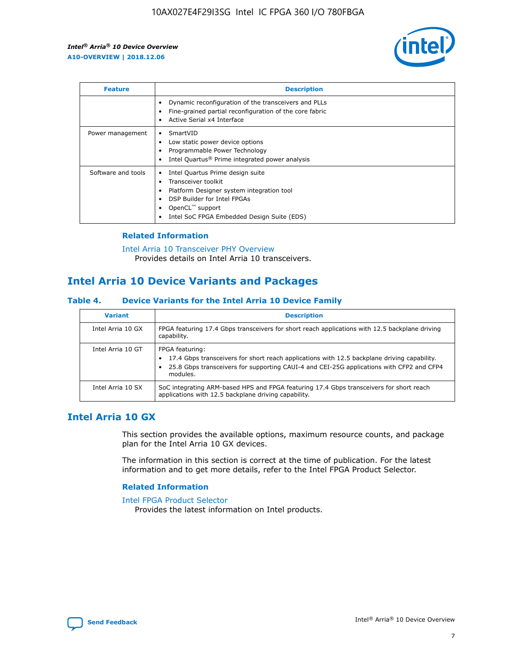

| <b>Feature</b>     | <b>Description</b>                                                                                                                                                                                               |
|--------------------|------------------------------------------------------------------------------------------------------------------------------------------------------------------------------------------------------------------|
|                    | Dynamic reconfiguration of the transceivers and PLLs<br>Fine-grained partial reconfiguration of the core fabric<br>Active Serial x4 Interface                                                                    |
| Power management   | SmartVID<br>Low static power device options<br>Programmable Power Technology<br>Intel Quartus <sup>®</sup> Prime integrated power analysis                                                                       |
| Software and tools | Intel Quartus Prime design suite<br>Transceiver toolkit<br>Platform Designer system integration tool<br>DSP Builder for Intel FPGAs<br>OpenCL <sup>™</sup> support<br>Intel SoC FPGA Embedded Design Suite (EDS) |

## **Related Information**

[Intel Arria 10 Transceiver PHY Overview](https://www.intel.com/content/www/us/en/programmable/documentation/nik1398707230472.html#nik1398706768037) Provides details on Intel Arria 10 transceivers.

## **Intel Arria 10 Device Variants and Packages**

#### **Table 4. Device Variants for the Intel Arria 10 Device Family**

| <b>Variant</b>    | <b>Description</b>                                                                                                                                                                                                     |
|-------------------|------------------------------------------------------------------------------------------------------------------------------------------------------------------------------------------------------------------------|
| Intel Arria 10 GX | FPGA featuring 17.4 Gbps transceivers for short reach applications with 12.5 backplane driving<br>capability.                                                                                                          |
| Intel Arria 10 GT | FPGA featuring:<br>17.4 Gbps transceivers for short reach applications with 12.5 backplane driving capability.<br>25.8 Gbps transceivers for supporting CAUI-4 and CEI-25G applications with CFP2 and CFP4<br>modules. |
| Intel Arria 10 SX | SoC integrating ARM-based HPS and FPGA featuring 17.4 Gbps transceivers for short reach<br>applications with 12.5 backplane driving capability.                                                                        |

## **Intel Arria 10 GX**

This section provides the available options, maximum resource counts, and package plan for the Intel Arria 10 GX devices.

The information in this section is correct at the time of publication. For the latest information and to get more details, refer to the Intel FPGA Product Selector.

#### **Related Information**

#### [Intel FPGA Product Selector](http://www.altera.com/products/selector/psg-selector.html) Provides the latest information on Intel products.

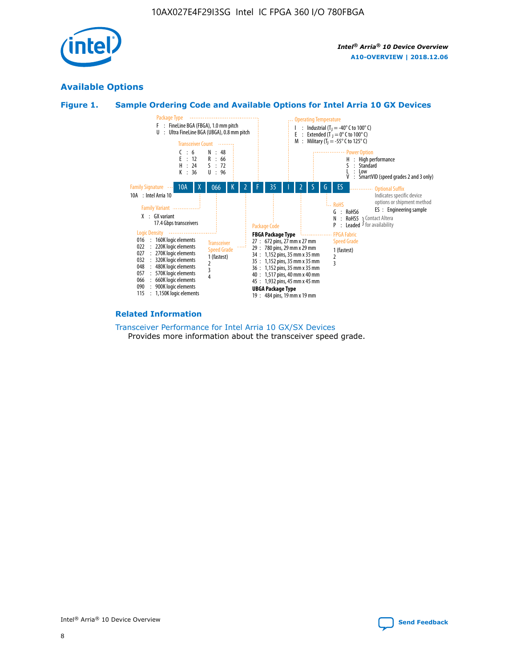

## **Available Options**





#### **Related Information**

#### [Transceiver Performance for Intel Arria 10 GX/SX Devices](https://www.intel.com/content/www/us/en/programmable/documentation/mcn1413182292568.html#mcn1413213965502) Provides more information about the transceiver speed grade.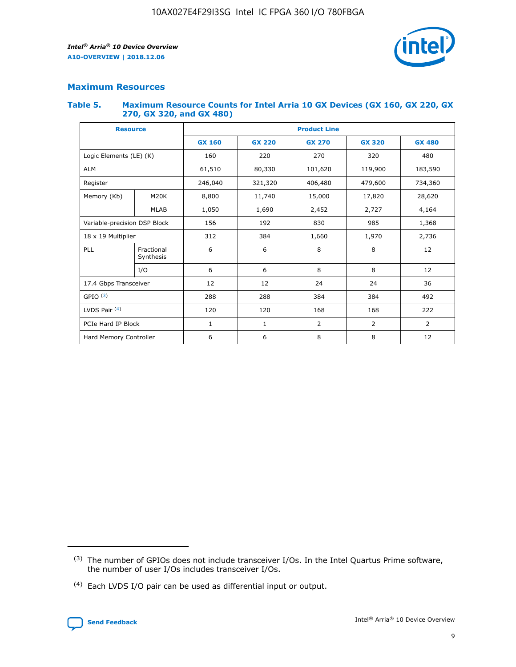

## **Maximum Resources**

#### **Table 5. Maximum Resource Counts for Intel Arria 10 GX Devices (GX 160, GX 220, GX 270, GX 320, and GX 480)**

| <b>Resource</b>              |                         | <b>Product Line</b> |                                                 |                |                |                |  |  |  |
|------------------------------|-------------------------|---------------------|-------------------------------------------------|----------------|----------------|----------------|--|--|--|
|                              |                         | <b>GX 160</b>       | <b>GX 220</b><br><b>GX 270</b><br><b>GX 320</b> |                |                | <b>GX 480</b>  |  |  |  |
| Logic Elements (LE) (K)      |                         | 160                 | 220                                             | 270            | 320            | 480            |  |  |  |
| <b>ALM</b>                   |                         | 61,510              | 80,330                                          | 101,620        | 119,900        | 183,590        |  |  |  |
| Register                     |                         | 246,040             | 406,480<br>321,320                              |                | 479,600        | 734,360        |  |  |  |
| Memory (Kb)                  | M <sub>20</sub> K       | 8,800               | 11,740                                          | 15,000         | 17,820         | 28,620         |  |  |  |
|                              | <b>MLAB</b>             | 1,050               | 1,690<br>2,452<br>2,727                         |                |                | 4,164          |  |  |  |
| Variable-precision DSP Block |                         | 156                 | 192                                             | 830            | 985            | 1,368          |  |  |  |
| 18 x 19 Multiplier           |                         | 312                 | 384                                             | 1,970<br>1,660 |                | 2,736          |  |  |  |
| PLL                          | Fractional<br>Synthesis | 6                   | 6                                               | 8              | 8              | 12             |  |  |  |
|                              | I/O                     | 6                   | 6                                               | 8              | 8              | 12             |  |  |  |
| 17.4 Gbps Transceiver        |                         | 12                  | 12                                              | 24             | 24             | 36             |  |  |  |
| GPIO <sup>(3)</sup>          |                         | 288                 | 288                                             | 384            | 384            | 492            |  |  |  |
| LVDS Pair $(4)$              |                         | 120                 | 120                                             | 168            | 168            | 222            |  |  |  |
| PCIe Hard IP Block           |                         | 1                   | 1                                               | 2              | $\overline{2}$ | $\overline{2}$ |  |  |  |
| Hard Memory Controller       |                         | 6                   | 6                                               | 8              | 8              | 12             |  |  |  |

<sup>(4)</sup> Each LVDS I/O pair can be used as differential input or output.



<sup>(3)</sup> The number of GPIOs does not include transceiver I/Os. In the Intel Quartus Prime software, the number of user I/Os includes transceiver I/Os.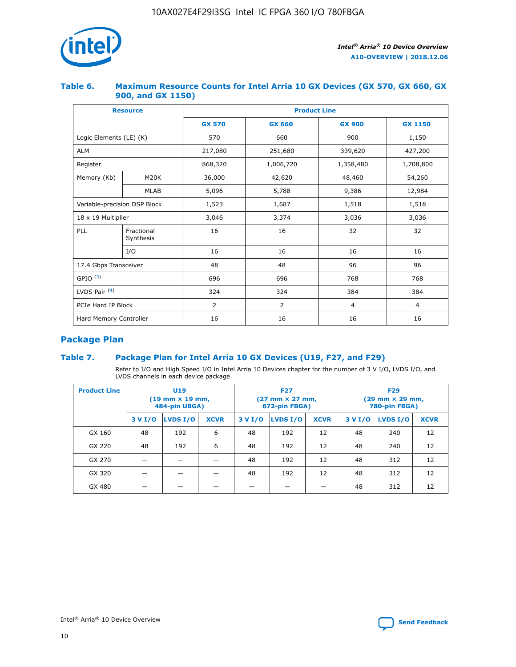

## **Table 6. Maximum Resource Counts for Intel Arria 10 GX Devices (GX 570, GX 660, GX 900, and GX 1150)**

|                              | <b>Resource</b>         | <b>Product Line</b> |                |                |                |  |  |  |
|------------------------------|-------------------------|---------------------|----------------|----------------|----------------|--|--|--|
|                              |                         | <b>GX 570</b>       | <b>GX 660</b>  | <b>GX 900</b>  | <b>GX 1150</b> |  |  |  |
| Logic Elements (LE) (K)      |                         | 570                 | 660            | 900            | 1,150          |  |  |  |
| <b>ALM</b>                   |                         | 217,080             | 251,680        | 339,620        | 427,200        |  |  |  |
| Register                     |                         | 868,320             | 1,006,720      | 1,358,480      | 1,708,800      |  |  |  |
| Memory (Kb)                  | <b>M20K</b>             | 36,000              | 42,620         | 48,460         | 54,260         |  |  |  |
|                              | <b>MLAB</b>             | 5,096               | 5,788          | 9,386          | 12,984         |  |  |  |
| Variable-precision DSP Block |                         | 1,523               | 1,687          | 1,518          | 1,518          |  |  |  |
| 18 x 19 Multiplier           |                         | 3,046               | 3,374          | 3,036          | 3,036          |  |  |  |
| PLL                          | Fractional<br>Synthesis | 16                  | 16             | 32             | 32             |  |  |  |
|                              | I/O                     | 16                  | 16             | 16             | 16             |  |  |  |
| 17.4 Gbps Transceiver        |                         | 48                  | 48             | 96             | 96             |  |  |  |
| GPIO <sup>(3)</sup>          |                         | 696                 | 696            | 768            | 768            |  |  |  |
| LVDS Pair $(4)$              |                         | 324                 | 324            | 384            | 384            |  |  |  |
| PCIe Hard IP Block           |                         | 2                   | $\overline{2}$ | $\overline{4}$ | $\overline{4}$ |  |  |  |
| Hard Memory Controller       |                         | 16                  | 16             | 16             | 16             |  |  |  |

## **Package Plan**

## **Table 7. Package Plan for Intel Arria 10 GX Devices (U19, F27, and F29)**

Refer to I/O and High Speed I/O in Intel Arria 10 Devices chapter for the number of 3 V I/O, LVDS I/O, and LVDS channels in each device package.

| <b>Product Line</b> | U <sub>19</sub><br>$(19 \text{ mm} \times 19 \text{ mm})$<br>484-pin UBGA) |          |             |         | <b>F27</b><br>(27 mm × 27 mm,<br>672-pin FBGA) |             | <b>F29</b><br>(29 mm × 29 mm,<br>780-pin FBGA) |          |             |  |
|---------------------|----------------------------------------------------------------------------|----------|-------------|---------|------------------------------------------------|-------------|------------------------------------------------|----------|-------------|--|
|                     | 3 V I/O                                                                    | LVDS I/O | <b>XCVR</b> | 3 V I/O | LVDS I/O                                       | <b>XCVR</b> | 3 V I/O                                        | LVDS I/O | <b>XCVR</b> |  |
| GX 160              | 48                                                                         | 192      | 6           | 48      | 192                                            | 12          | 48                                             | 240      | 12          |  |
| GX 220              | 48                                                                         | 192      | 6           | 48      | 192                                            | 12          | 48                                             | 240      | 12          |  |
| GX 270              |                                                                            |          |             | 48      | 192                                            | 12          | 48                                             | 312      | 12          |  |
| GX 320              |                                                                            |          |             | 48      | 192                                            | 12          | 48                                             | 312      | 12          |  |
| GX 480              |                                                                            |          |             |         |                                                |             | 48                                             | 312      | 12          |  |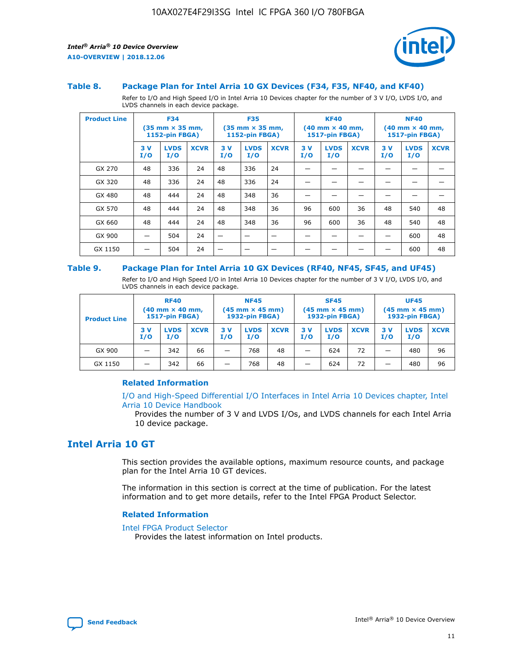

#### **Table 8. Package Plan for Intel Arria 10 GX Devices (F34, F35, NF40, and KF40)**

Refer to I/O and High Speed I/O in Intel Arria 10 Devices chapter for the number of 3 V I/O, LVDS I/O, and LVDS channels in each device package.

| <b>Product Line</b> | <b>F34</b><br>$(35 \text{ mm} \times 35 \text{ mm})$<br>1152-pin FBGA) |                    | <b>F35</b><br>$(35$ mm $\times$ 35 mm,<br><b>1152-pin FBGA)</b> |           | <b>KF40</b><br>$(40$ mm $\times$ 40 mm,<br>1517-pin FBGA) |             |           | <b>NF40</b><br>$(40$ mm $\times$ 40 mm,<br><b>1517-pin FBGA)</b> |             |            |                    |             |
|---------------------|------------------------------------------------------------------------|--------------------|-----------------------------------------------------------------|-----------|-----------------------------------------------------------|-------------|-----------|------------------------------------------------------------------|-------------|------------|--------------------|-------------|
|                     | 3V<br>I/O                                                              | <b>LVDS</b><br>I/O | <b>XCVR</b>                                                     | 3V<br>I/O | <b>LVDS</b><br>I/O                                        | <b>XCVR</b> | 3V<br>I/O | <b>LVDS</b><br>I/O                                               | <b>XCVR</b> | 3 V<br>I/O | <b>LVDS</b><br>I/O | <b>XCVR</b> |
| GX 270              | 48                                                                     | 336                | 24                                                              | 48        | 336                                                       | 24          |           |                                                                  |             |            |                    |             |
| GX 320              | 48                                                                     | 336                | 24                                                              | 48        | 336                                                       | 24          |           |                                                                  |             |            |                    |             |
| GX 480              | 48                                                                     | 444                | 24                                                              | 48        | 348                                                       | 36          |           |                                                                  |             |            |                    |             |
| GX 570              | 48                                                                     | 444                | 24                                                              | 48        | 348                                                       | 36          | 96        | 600                                                              | 36          | 48         | 540                | 48          |
| GX 660              | 48                                                                     | 444                | 24                                                              | 48        | 348                                                       | 36          | 96        | 600                                                              | 36          | 48         | 540                | 48          |
| GX 900              |                                                                        | 504                | 24                                                              | —         |                                                           | -           |           |                                                                  |             |            | 600                | 48          |
| GX 1150             |                                                                        | 504                | 24                                                              |           |                                                           |             |           |                                                                  |             |            | 600                | 48          |

#### **Table 9. Package Plan for Intel Arria 10 GX Devices (RF40, NF45, SF45, and UF45)**

Refer to I/O and High Speed I/O in Intel Arria 10 Devices chapter for the number of 3 V I/O, LVDS I/O, and LVDS channels in each device package.

| <b>Product Line</b> | <b>RF40</b><br>$(40$ mm $\times$ 40 mm,<br>1517-pin FBGA) |                    | <b>NF45</b><br>$(45 \text{ mm} \times 45 \text{ mm})$<br><b>1932-pin FBGA)</b> |            |                    | <b>SF45</b><br>$(45 \text{ mm} \times 45 \text{ mm})$<br><b>1932-pin FBGA)</b> |            |                    | <b>UF45</b><br>$(45 \text{ mm} \times 45 \text{ mm})$<br><b>1932-pin FBGA)</b> |           |                    |             |
|---------------------|-----------------------------------------------------------|--------------------|--------------------------------------------------------------------------------|------------|--------------------|--------------------------------------------------------------------------------|------------|--------------------|--------------------------------------------------------------------------------|-----------|--------------------|-------------|
|                     | 3V<br>I/O                                                 | <b>LVDS</b><br>I/O | <b>XCVR</b>                                                                    | 3 V<br>I/O | <b>LVDS</b><br>I/O | <b>XCVR</b>                                                                    | 3 V<br>I/O | <b>LVDS</b><br>I/O | <b>XCVR</b>                                                                    | 3V<br>I/O | <b>LVDS</b><br>I/O | <b>XCVR</b> |
| GX 900              |                                                           | 342                | 66                                                                             | _          | 768                | 48                                                                             |            | 624                | 72                                                                             |           | 480                | 96          |
| GX 1150             |                                                           | 342                | 66                                                                             | _          | 768                | 48                                                                             |            | 624                | 72                                                                             |           | 480                | 96          |

## **Related Information**

[I/O and High-Speed Differential I/O Interfaces in Intel Arria 10 Devices chapter, Intel](https://www.intel.com/content/www/us/en/programmable/documentation/sam1403482614086.html#sam1403482030321) [Arria 10 Device Handbook](https://www.intel.com/content/www/us/en/programmable/documentation/sam1403482614086.html#sam1403482030321)

Provides the number of 3 V and LVDS I/Os, and LVDS channels for each Intel Arria 10 device package.

## **Intel Arria 10 GT**

This section provides the available options, maximum resource counts, and package plan for the Intel Arria 10 GT devices.

The information in this section is correct at the time of publication. For the latest information and to get more details, refer to the Intel FPGA Product Selector.

#### **Related Information**

#### [Intel FPGA Product Selector](http://www.altera.com/products/selector/psg-selector.html)

Provides the latest information on Intel products.

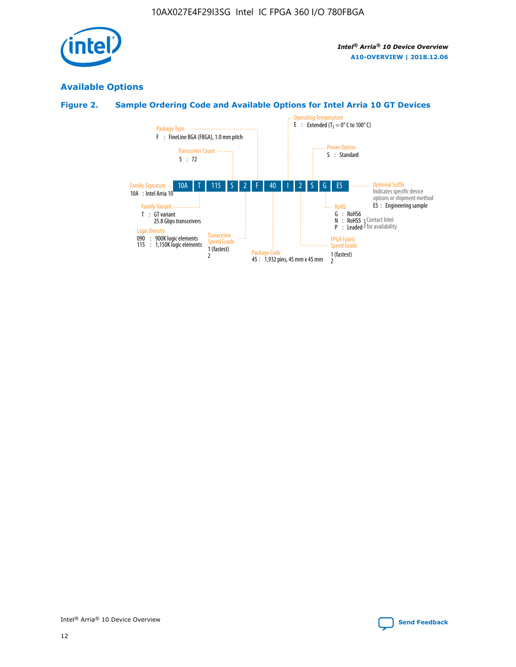

## **Available Options**

## **Figure 2. Sample Ordering Code and Available Options for Intel Arria 10 GT Devices**

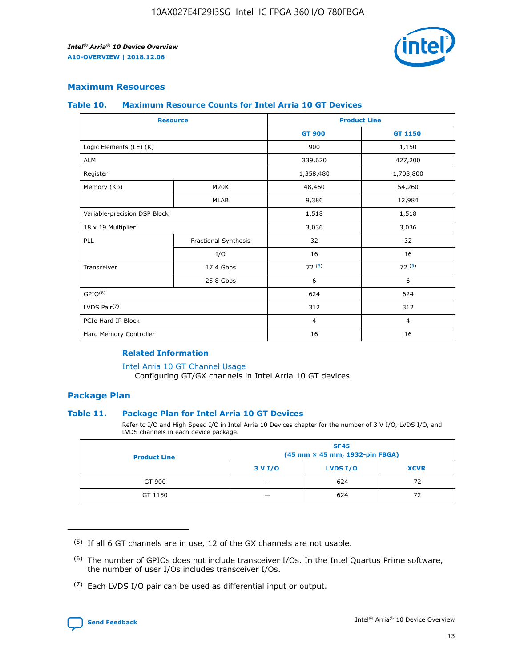

## **Maximum Resources**

#### **Table 10. Maximum Resource Counts for Intel Arria 10 GT Devices**

| <b>Resource</b>              |                      | <b>Product Line</b> |                |  |
|------------------------------|----------------------|---------------------|----------------|--|
|                              |                      | <b>GT 900</b>       | <b>GT 1150</b> |  |
| Logic Elements (LE) (K)      |                      | 900                 | 1,150          |  |
| <b>ALM</b>                   |                      | 339,620             | 427,200        |  |
| Register                     |                      | 1,358,480           | 1,708,800      |  |
| Memory (Kb)                  | M20K                 | 48,460              | 54,260         |  |
|                              | <b>MLAB</b>          | 9,386               | 12,984         |  |
| Variable-precision DSP Block |                      | 1,518               | 1,518          |  |
| 18 x 19 Multiplier           |                      | 3,036               | 3,036          |  |
| PLL                          | Fractional Synthesis | 32                  | 32             |  |
|                              | I/O                  | 16                  | 16             |  |
| Transceiver                  | 17.4 Gbps            | 72(5)               | 72(5)          |  |
|                              | 25.8 Gbps            | 6                   | 6              |  |
| GPIO <sup>(6)</sup>          |                      | 624                 | 624            |  |
| LVDS Pair $(7)$              |                      | 312                 | 312            |  |
| PCIe Hard IP Block           |                      | $\overline{4}$      | $\overline{4}$ |  |
| Hard Memory Controller       |                      | 16                  | 16             |  |

## **Related Information**

#### [Intel Arria 10 GT Channel Usage](https://www.intel.com/content/www/us/en/programmable/documentation/nik1398707230472.html#nik1398707008178)

Configuring GT/GX channels in Intel Arria 10 GT devices.

## **Package Plan**

## **Table 11. Package Plan for Intel Arria 10 GT Devices**

Refer to I/O and High Speed I/O in Intel Arria 10 Devices chapter for the number of 3 V I/O, LVDS I/O, and LVDS channels in each device package.

| <b>Product Line</b> | <b>SF45</b><br>(45 mm × 45 mm, 1932-pin FBGA) |                 |             |  |  |  |
|---------------------|-----------------------------------------------|-----------------|-------------|--|--|--|
|                     | 3 V I/O                                       | <b>LVDS I/O</b> | <b>XCVR</b> |  |  |  |
| GT 900              |                                               | 624             | 72          |  |  |  |
| GT 1150             |                                               | 624             | 72          |  |  |  |

<sup>(7)</sup> Each LVDS I/O pair can be used as differential input or output.



 $(5)$  If all 6 GT channels are in use, 12 of the GX channels are not usable.

<sup>(6)</sup> The number of GPIOs does not include transceiver I/Os. In the Intel Quartus Prime software, the number of user I/Os includes transceiver I/Os.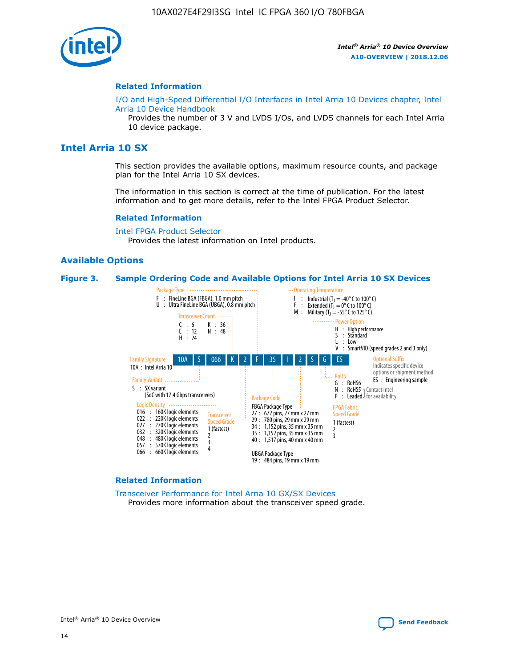

#### **Related Information**

[I/O and High-Speed Differential I/O Interfaces in Intel Arria 10 Devices chapter, Intel](https://www.intel.com/content/www/us/en/programmable/documentation/sam1403482614086.html#sam1403482030321) [Arria 10 Device Handbook](https://www.intel.com/content/www/us/en/programmable/documentation/sam1403482614086.html#sam1403482030321)

Provides the number of 3 V and LVDS I/Os, and LVDS channels for each Intel Arria 10 device package.

## **Intel Arria 10 SX**

This section provides the available options, maximum resource counts, and package plan for the Intel Arria 10 SX devices.

The information in this section is correct at the time of publication. For the latest information and to get more details, refer to the Intel FPGA Product Selector.

#### **Related Information**

[Intel FPGA Product Selector](http://www.altera.com/products/selector/psg-selector.html) Provides the latest information on Intel products.

## **Available Options**

#### **Figure 3. Sample Ordering Code and Available Options for Intel Arria 10 SX Devices**



#### **Related Information**

[Transceiver Performance for Intel Arria 10 GX/SX Devices](https://www.intel.com/content/www/us/en/programmable/documentation/mcn1413182292568.html#mcn1413213965502) Provides more information about the transceiver speed grade.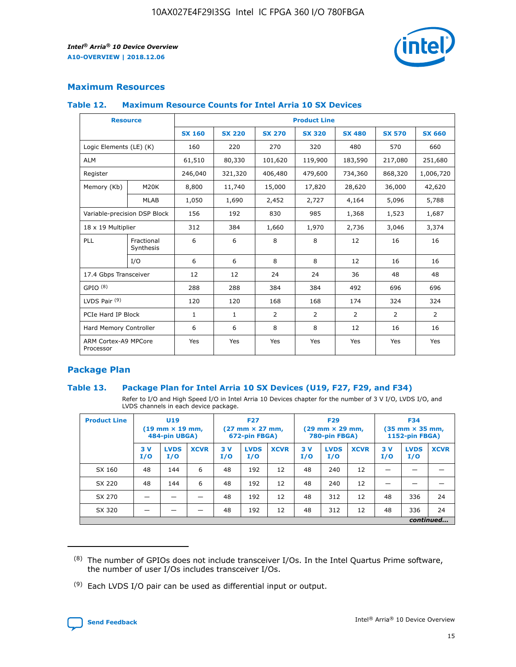

## **Maximum Resources**

#### **Table 12. Maximum Resource Counts for Intel Arria 10 SX Devices**

| <b>Resource</b>                   |                         | <b>Product Line</b> |               |               |                |               |               |               |  |  |  |
|-----------------------------------|-------------------------|---------------------|---------------|---------------|----------------|---------------|---------------|---------------|--|--|--|
|                                   |                         | <b>SX 160</b>       | <b>SX 220</b> | <b>SX 270</b> | <b>SX 320</b>  | <b>SX 480</b> | <b>SX 570</b> | <b>SX 660</b> |  |  |  |
| Logic Elements (LE) (K)           |                         | 160                 | 220           | 270           | 320            | 480           | 570           | 660           |  |  |  |
| <b>ALM</b>                        |                         | 61,510              | 80,330        | 101,620       | 119,900        | 183,590       | 217,080       | 251,680       |  |  |  |
| Register                          |                         | 246,040             | 321,320       | 406,480       | 479,600        | 734,360       | 868,320       | 1,006,720     |  |  |  |
| Memory (Kb)                       | M20K                    | 8,800               | 11,740        | 15,000        | 17,820         | 28,620        | 36,000        | 42,620        |  |  |  |
|                                   | <b>MLAB</b>             | 1,050               | 1,690         | 2,452         | 2,727          | 4,164         | 5,096         | 5,788         |  |  |  |
| Variable-precision DSP Block      |                         | 156                 | 192           | 830           | 985            | 1,368         | 1,523         | 1,687         |  |  |  |
| 18 x 19 Multiplier                |                         | 312                 | 384           | 1,660         | 1,970          | 2,736         | 3,046         | 3,374         |  |  |  |
| PLL                               | Fractional<br>Synthesis | 6                   | 6             | 8             | 8              | 12            | 16            | 16            |  |  |  |
|                                   | I/O                     | 6                   | 6             | 8             | 8              | 12            | 16            | 16            |  |  |  |
| 17.4 Gbps Transceiver             |                         | 12                  | 12            | 24            | 24             | 36            | 48            | 48            |  |  |  |
| GPIO <sup>(8)</sup>               |                         | 288                 | 288           | 384           | 384            | 492           | 696           | 696           |  |  |  |
| LVDS Pair $(9)$                   |                         | 120                 | 120           | 168           | 168            | 174           | 324           | 324           |  |  |  |
| PCIe Hard IP Block                |                         | $\mathbf{1}$        | $\mathbf{1}$  | 2             | $\overline{2}$ | 2             | 2             | 2             |  |  |  |
| Hard Memory Controller            |                         | 6                   | 6             | 8             | 8              | 12            | 16            | 16            |  |  |  |
| ARM Cortex-A9 MPCore<br>Processor |                         | Yes                 | Yes           | Yes           | Yes            | Yes           | Yes           | Yes           |  |  |  |

## **Package Plan**

## **Table 13. Package Plan for Intel Arria 10 SX Devices (U19, F27, F29, and F34)**

Refer to I/O and High Speed I/O in Intel Arria 10 Devices chapter for the number of 3 V I/O, LVDS I/O, and LVDS channels in each device package.

| <b>Product Line</b> | U19<br>$(19 \text{ mm} \times 19 \text{ mm})$ .<br>484-pin UBGA) |                    |             | <b>F27</b><br>$(27 \text{ mm} \times 27 \text{ mm})$<br>672-pin FBGA) |                    | <b>F29</b><br>$(29 \text{ mm} \times 29 \text{ mm})$<br>780-pin FBGA) |           |                    | <b>F34</b><br>$(35 \text{ mm} \times 35 \text{ mm})$<br><b>1152-pin FBGA)</b> |           |                    |             |
|---------------------|------------------------------------------------------------------|--------------------|-------------|-----------------------------------------------------------------------|--------------------|-----------------------------------------------------------------------|-----------|--------------------|-------------------------------------------------------------------------------|-----------|--------------------|-------------|
|                     | 3V<br>I/O                                                        | <b>LVDS</b><br>I/O | <b>XCVR</b> | 3V<br>I/O                                                             | <b>LVDS</b><br>I/O | <b>XCVR</b>                                                           | 3V<br>I/O | <b>LVDS</b><br>I/O | <b>XCVR</b>                                                                   | 3V<br>I/O | <b>LVDS</b><br>I/O | <b>XCVR</b> |
| SX 160              | 48                                                               | 144                | 6           | 48                                                                    | 192                | 12                                                                    | 48        | 240                | 12                                                                            |           |                    |             |
| SX 220              | 48                                                               | 144                | 6           | 48                                                                    | 192                | 12                                                                    | 48        | 240                | 12                                                                            |           |                    |             |
| SX 270              |                                                                  |                    |             | 48                                                                    | 192                | 12                                                                    | 48        | 312                | 12                                                                            | 48        | 336                | 24          |
| SX 320              |                                                                  |                    |             | 48                                                                    | 192                | 12                                                                    | 48        | 312                | 12                                                                            | 48        | 336                | 24          |
|                     | continued                                                        |                    |             |                                                                       |                    |                                                                       |           |                    |                                                                               |           |                    |             |

 $(8)$  The number of GPIOs does not include transceiver I/Os. In the Intel Quartus Prime software, the number of user I/Os includes transceiver I/Os.

 $(9)$  Each LVDS I/O pair can be used as differential input or output.

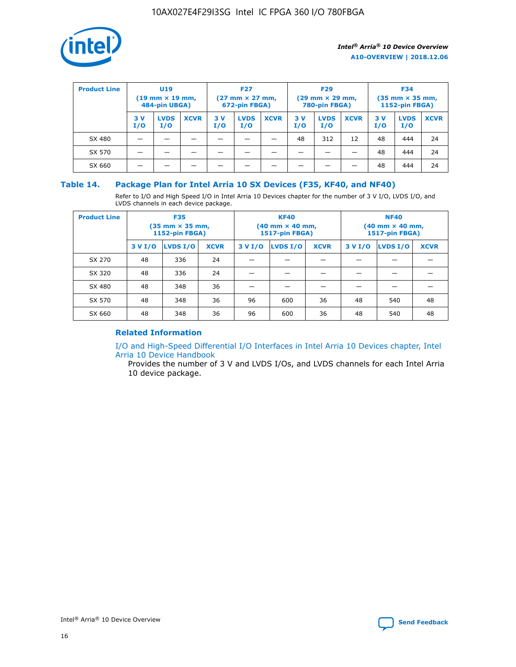

| <b>Product Line</b> | <b>U19</b><br>$(19 \text{ mm} \times 19 \text{ mm})$<br>484-pin UBGA) |                    | <b>F27</b><br>$(27 \text{ mm} \times 27 \text{ mm})$<br>672-pin FBGA) |           | <b>F29</b><br>$(29 \text{ mm} \times 29 \text{ mm})$<br>780-pin FBGA) |             |           | <b>F34</b><br>$(35$ mm $\times$ 35 mm,<br><b>1152-pin FBGA)</b> |             |           |                    |             |
|---------------------|-----------------------------------------------------------------------|--------------------|-----------------------------------------------------------------------|-----------|-----------------------------------------------------------------------|-------------|-----------|-----------------------------------------------------------------|-------------|-----------|--------------------|-------------|
|                     | 3 V<br>I/O                                                            | <b>LVDS</b><br>I/O | <b>XCVR</b>                                                           | 3V<br>I/O | <b>LVDS</b><br>I/O                                                    | <b>XCVR</b> | 3V<br>I/O | <b>LVDS</b><br>I/O                                              | <b>XCVR</b> | 3V<br>I/O | <b>LVDS</b><br>I/O | <b>XCVR</b> |
| SX 480              |                                                                       |                    |                                                                       |           |                                                                       |             | 48        | 312                                                             | 12          | 48        | 444                | 24          |
| SX 570              |                                                                       |                    |                                                                       |           |                                                                       |             |           |                                                                 |             | 48        | 444                | 24          |
| SX 660              |                                                                       |                    |                                                                       |           |                                                                       |             |           |                                                                 |             | 48        | 444                | 24          |

## **Table 14. Package Plan for Intel Arria 10 SX Devices (F35, KF40, and NF40)**

Refer to I/O and High Speed I/O in Intel Arria 10 Devices chapter for the number of 3 V I/O, LVDS I/O, and LVDS channels in each device package.

| <b>Product Line</b> | <b>F35</b><br>(35 mm × 35 mm,<br><b>1152-pin FBGA)</b> |          |             |                                           | <b>KF40</b><br>(40 mm × 40 mm,<br>1517-pin FBGA) |    | <b>NF40</b><br>$(40 \text{ mm} \times 40 \text{ mm})$<br>1517-pin FBGA) |          |             |  |
|---------------------|--------------------------------------------------------|----------|-------------|-------------------------------------------|--------------------------------------------------|----|-------------------------------------------------------------------------|----------|-------------|--|
|                     | 3 V I/O                                                | LVDS I/O | <b>XCVR</b> | <b>LVDS I/O</b><br>3 V I/O<br><b>XCVR</b> |                                                  |    | 3 V I/O                                                                 | LVDS I/O | <b>XCVR</b> |  |
| SX 270              | 48                                                     | 336      | 24          |                                           |                                                  |    |                                                                         |          |             |  |
| SX 320              | 48                                                     | 336      | 24          |                                           |                                                  |    |                                                                         |          |             |  |
| SX 480              | 48                                                     | 348      | 36          |                                           |                                                  |    |                                                                         |          |             |  |
| SX 570              | 48                                                     | 348      | 36          | 96                                        | 600                                              | 36 | 48                                                                      | 540      | 48          |  |
| SX 660              | 48                                                     | 348      | 36          | 96                                        | 600                                              | 36 | 48                                                                      | 540      | 48          |  |

## **Related Information**

[I/O and High-Speed Differential I/O Interfaces in Intel Arria 10 Devices chapter, Intel](https://www.intel.com/content/www/us/en/programmable/documentation/sam1403482614086.html#sam1403482030321) [Arria 10 Device Handbook](https://www.intel.com/content/www/us/en/programmable/documentation/sam1403482614086.html#sam1403482030321)

Provides the number of 3 V and LVDS I/Os, and LVDS channels for each Intel Arria 10 device package.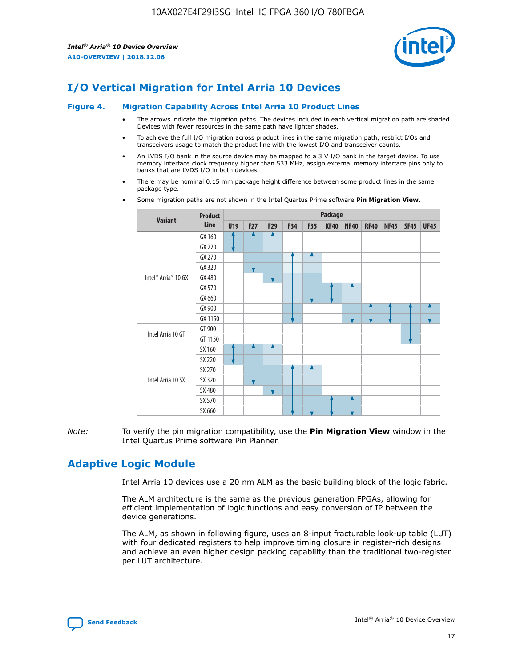

# **I/O Vertical Migration for Intel Arria 10 Devices**

#### **Figure 4. Migration Capability Across Intel Arria 10 Product Lines**

- The arrows indicate the migration paths. The devices included in each vertical migration path are shaded. Devices with fewer resources in the same path have lighter shades.
- To achieve the full I/O migration across product lines in the same migration path, restrict I/Os and transceivers usage to match the product line with the lowest I/O and transceiver counts.
- An LVDS I/O bank in the source device may be mapped to a 3 V I/O bank in the target device. To use memory interface clock frequency higher than 533 MHz, assign external memory interface pins only to banks that are LVDS I/O in both devices.
- There may be nominal 0.15 mm package height difference between some product lines in the same package type.
	- **Variant Product Line Package U19 F27 F29 F34 F35 KF40 NF40 RF40 NF45 SF45 UF45** Intel® Arria® 10 GX GX 160 GX 220 GX 270 GX 320 GX 480 GX 570 GX 660 GX 900 GX 1150 Intel Arria 10 GT GT 900 GT 1150 Intel Arria 10 SX SX 160 SX 220 SX 270 SX 320 SX 480 SX 570 SX 660
- Some migration paths are not shown in the Intel Quartus Prime software **Pin Migration View**.

*Note:* To verify the pin migration compatibility, use the **Pin Migration View** window in the Intel Quartus Prime software Pin Planner.

## **Adaptive Logic Module**

Intel Arria 10 devices use a 20 nm ALM as the basic building block of the logic fabric.

The ALM architecture is the same as the previous generation FPGAs, allowing for efficient implementation of logic functions and easy conversion of IP between the device generations.

The ALM, as shown in following figure, uses an 8-input fracturable look-up table (LUT) with four dedicated registers to help improve timing closure in register-rich designs and achieve an even higher design packing capability than the traditional two-register per LUT architecture.

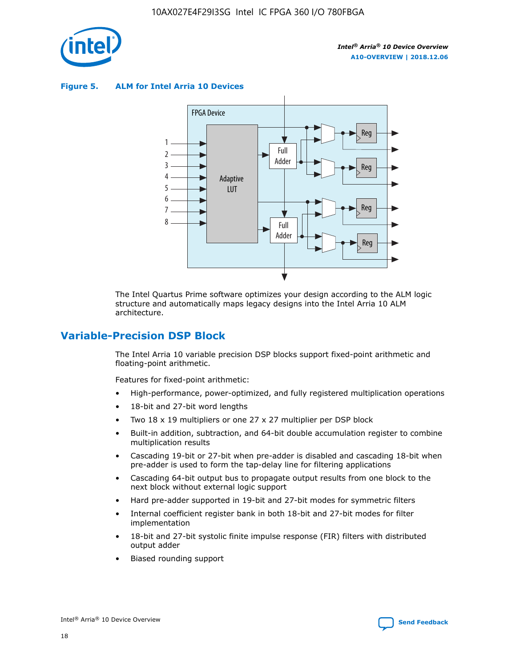

**Figure 5. ALM for Intel Arria 10 Devices**



The Intel Quartus Prime software optimizes your design according to the ALM logic structure and automatically maps legacy designs into the Intel Arria 10 ALM architecture.

## **Variable-Precision DSP Block**

The Intel Arria 10 variable precision DSP blocks support fixed-point arithmetic and floating-point arithmetic.

Features for fixed-point arithmetic:

- High-performance, power-optimized, and fully registered multiplication operations
- 18-bit and 27-bit word lengths
- Two 18 x 19 multipliers or one 27 x 27 multiplier per DSP block
- Built-in addition, subtraction, and 64-bit double accumulation register to combine multiplication results
- Cascading 19-bit or 27-bit when pre-adder is disabled and cascading 18-bit when pre-adder is used to form the tap-delay line for filtering applications
- Cascading 64-bit output bus to propagate output results from one block to the next block without external logic support
- Hard pre-adder supported in 19-bit and 27-bit modes for symmetric filters
- Internal coefficient register bank in both 18-bit and 27-bit modes for filter implementation
- 18-bit and 27-bit systolic finite impulse response (FIR) filters with distributed output adder
- Biased rounding support

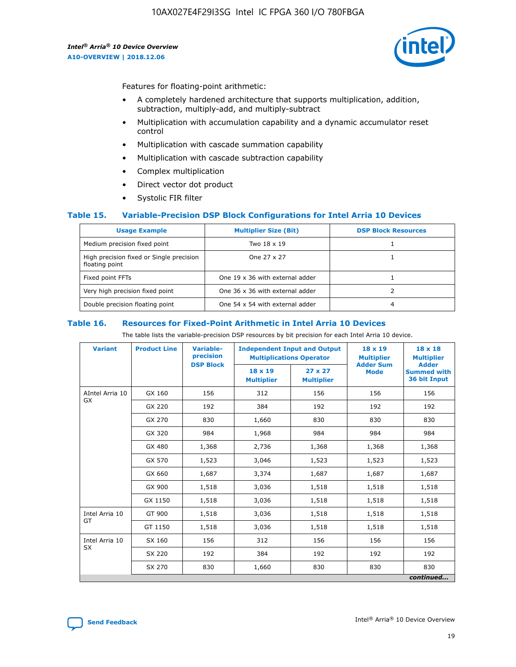

Features for floating-point arithmetic:

- A completely hardened architecture that supports multiplication, addition, subtraction, multiply-add, and multiply-subtract
- Multiplication with accumulation capability and a dynamic accumulator reset control
- Multiplication with cascade summation capability
- Multiplication with cascade subtraction capability
- Complex multiplication
- Direct vector dot product
- Systolic FIR filter

## **Table 15. Variable-Precision DSP Block Configurations for Intel Arria 10 Devices**

| <b>Usage Example</b>                                       | <b>Multiplier Size (Bit)</b>    | <b>DSP Block Resources</b> |
|------------------------------------------------------------|---------------------------------|----------------------------|
| Medium precision fixed point                               | Two 18 x 19                     |                            |
| High precision fixed or Single precision<br>floating point | One 27 x 27                     |                            |
| Fixed point FFTs                                           | One 19 x 36 with external adder |                            |
| Very high precision fixed point                            | One 36 x 36 with external adder |                            |
| Double precision floating point                            | One 54 x 54 with external adder | 4                          |

#### **Table 16. Resources for Fixed-Point Arithmetic in Intel Arria 10 Devices**

The table lists the variable-precision DSP resources by bit precision for each Intel Arria 10 device.

| <b>Variant</b>  | <b>Product Line</b> | Variable-<br>precision<br><b>DSP Block</b> | <b>Independent Input and Output</b><br><b>Multiplications Operator</b> |                                     | 18 x 19<br><b>Multiplier</b><br><b>Adder Sum</b> | $18 \times 18$<br><b>Multiplier</b><br><b>Adder</b> |
|-----------------|---------------------|--------------------------------------------|------------------------------------------------------------------------|-------------------------------------|--------------------------------------------------|-----------------------------------------------------|
|                 |                     |                                            | 18 x 19<br><b>Multiplier</b>                                           | $27 \times 27$<br><b>Multiplier</b> | <b>Mode</b>                                      | <b>Summed with</b><br>36 bit Input                  |
| AIntel Arria 10 | GX 160              | 156                                        | 312                                                                    | 156                                 | 156                                              | 156                                                 |
| GX              | GX 220              | 192                                        | 384                                                                    | 192                                 | 192                                              | 192                                                 |
|                 | GX 270              | 830                                        | 1,660                                                                  | 830                                 | 830                                              | 830                                                 |
|                 | GX 320              | 984                                        | 1,968                                                                  | 984                                 | 984                                              | 984                                                 |
|                 | GX 480              | 1,368                                      | 2,736                                                                  | 1,368                               | 1,368                                            | 1,368                                               |
|                 | GX 570              | 1,523                                      | 3,046                                                                  | 1,523                               | 1,523                                            | 1,523                                               |
|                 | GX 660              | 1,687                                      | 3,374                                                                  | 1,687                               | 1,687                                            | 1,687                                               |
|                 | GX 900              | 1,518                                      | 3,036                                                                  | 1,518                               | 1,518                                            | 1,518                                               |
|                 | GX 1150             | 1,518                                      | 3,036                                                                  | 1,518                               | 1,518                                            | 1,518                                               |
| Intel Arria 10  | GT 900              | 1,518                                      | 3,036                                                                  | 1,518                               | 1,518                                            | 1,518                                               |
| GT              | GT 1150             | 1,518                                      | 3,036                                                                  | 1,518                               | 1,518                                            | 1,518                                               |
| Intel Arria 10  | SX 160              | 156                                        | 312                                                                    | 156                                 | 156                                              | 156                                                 |
| <b>SX</b>       | SX 220              | 192                                        | 384                                                                    | 192                                 | 192                                              | 192                                                 |
|                 | SX 270              | 830                                        | 1,660                                                                  | 830                                 | 830                                              | 830                                                 |
|                 |                     |                                            |                                                                        |                                     |                                                  | continued                                           |

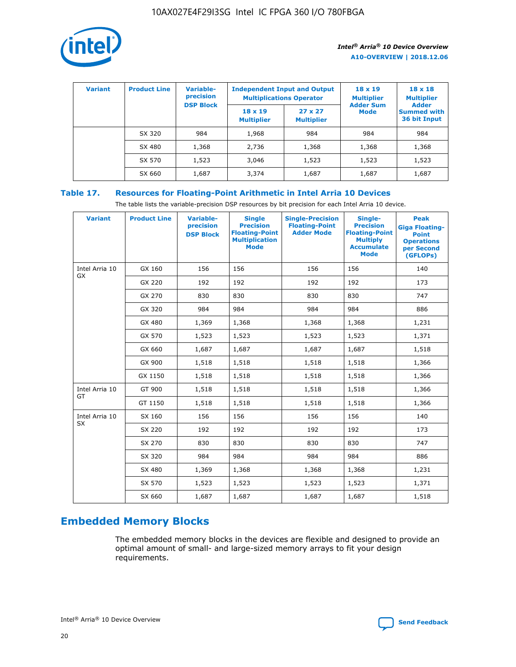

| <b>Variant</b> | <b>Product Line</b> | Variable-<br>precision | <b>Independent Input and Output</b><br><b>Multiplications Operator</b> |                                     | $18 \times 19$<br><b>Multiplier</b> | $18 \times 18$<br><b>Multiplier</b><br><b>Adder</b> |  |
|----------------|---------------------|------------------------|------------------------------------------------------------------------|-------------------------------------|-------------------------------------|-----------------------------------------------------|--|
|                |                     | <b>DSP Block</b>       | $18 \times 19$<br><b>Multiplier</b>                                    | $27 \times 27$<br><b>Multiplier</b> | <b>Adder Sum</b><br><b>Mode</b>     | <b>Summed with</b><br>36 bit Input                  |  |
|                | SX 320              | 984                    | 1,968                                                                  | 984                                 | 984                                 | 984                                                 |  |
|                | SX 480              | 1,368                  | 2,736                                                                  | 1,368                               | 1,368                               | 1,368                                               |  |
|                | SX 570              | 1,523                  | 3,046                                                                  | 1,523                               | 1,523                               | 1,523                                               |  |
|                | SX 660              | 1,687                  | 3,374                                                                  | 1,687                               | 1,687                               | 1,687                                               |  |

## **Table 17. Resources for Floating-Point Arithmetic in Intel Arria 10 Devices**

The table lists the variable-precision DSP resources by bit precision for each Intel Arria 10 device.

| <b>Variant</b> | <b>Product Line</b> | <b>Variable-</b><br>precision<br><b>DSP Block</b> | <b>Single</b><br><b>Precision</b><br><b>Floating-Point</b><br><b>Multiplication</b><br><b>Mode</b> | <b>Single-Precision</b><br><b>Floating-Point</b><br><b>Adder Mode</b> | Single-<br><b>Precision</b><br><b>Floating-Point</b><br><b>Multiply</b><br><b>Accumulate</b><br><b>Mode</b> | <b>Peak</b><br><b>Giga Floating-</b><br><b>Point</b><br><b>Operations</b><br>per Second<br>(GFLOPs) |
|----------------|---------------------|---------------------------------------------------|----------------------------------------------------------------------------------------------------|-----------------------------------------------------------------------|-------------------------------------------------------------------------------------------------------------|-----------------------------------------------------------------------------------------------------|
| Intel Arria 10 | GX 160              | 156                                               | 156                                                                                                | 156                                                                   | 156                                                                                                         | 140                                                                                                 |
| GX             | GX 220              | 192                                               | 192                                                                                                | 192                                                                   | 192                                                                                                         | 173                                                                                                 |
|                | GX 270              | 830                                               | 830                                                                                                | 830                                                                   | 830                                                                                                         | 747                                                                                                 |
|                | GX 320              | 984                                               | 984                                                                                                | 984                                                                   | 984                                                                                                         | 886                                                                                                 |
|                | GX 480              | 1,369                                             | 1,368                                                                                              | 1,368                                                                 | 1,368                                                                                                       | 1,231                                                                                               |
|                | GX 570              | 1,523                                             | 1,523                                                                                              | 1,523                                                                 | 1,523                                                                                                       | 1,371                                                                                               |
|                | GX 660              | 1,687                                             | 1,687                                                                                              | 1,687                                                                 | 1,687                                                                                                       | 1,518                                                                                               |
|                | GX 900              | 1,518                                             | 1,518                                                                                              | 1,518                                                                 | 1,518                                                                                                       | 1,366                                                                                               |
|                | GX 1150             | 1,518                                             | 1,518                                                                                              | 1,518                                                                 | 1,518                                                                                                       | 1,366                                                                                               |
| Intel Arria 10 | GT 900              | 1,518                                             | 1,518                                                                                              | 1,518                                                                 | 1,518                                                                                                       | 1,366                                                                                               |
| GT             | GT 1150             | 1,518                                             | 1,518                                                                                              | 1,518                                                                 | 1,518                                                                                                       | 1,366                                                                                               |
| Intel Arria 10 | SX 160              | 156                                               | 156                                                                                                | 156                                                                   | 156                                                                                                         | 140                                                                                                 |
| <b>SX</b>      | SX 220              | 192                                               | 192                                                                                                | 192                                                                   | 192                                                                                                         | 173                                                                                                 |
|                | SX 270              | 830                                               | 830                                                                                                | 830                                                                   | 830                                                                                                         | 747                                                                                                 |
|                | SX 320              | 984                                               | 984                                                                                                | 984                                                                   | 984                                                                                                         | 886                                                                                                 |
|                | SX 480              | 1,369                                             | 1,368                                                                                              | 1,368                                                                 | 1,368                                                                                                       | 1,231                                                                                               |
|                | SX 570              | 1,523                                             | 1,523                                                                                              | 1,523                                                                 | 1,523                                                                                                       | 1,371                                                                                               |
|                | SX 660              | 1,687                                             | 1,687                                                                                              | 1,687                                                                 | 1,687                                                                                                       | 1,518                                                                                               |

# **Embedded Memory Blocks**

The embedded memory blocks in the devices are flexible and designed to provide an optimal amount of small- and large-sized memory arrays to fit your design requirements.

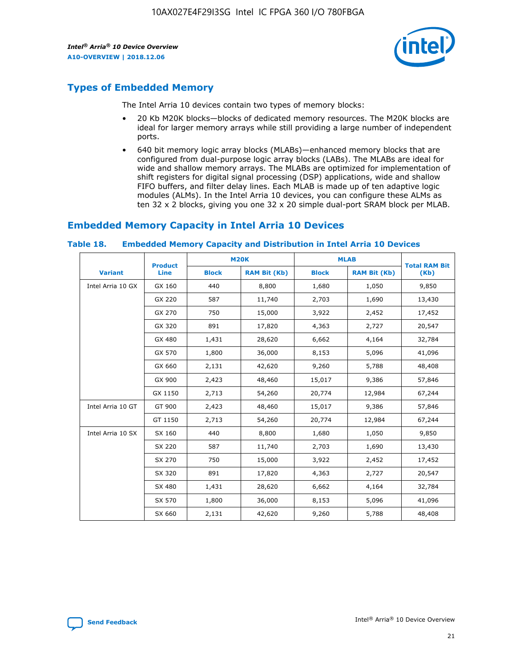

## **Types of Embedded Memory**

The Intel Arria 10 devices contain two types of memory blocks:

- 20 Kb M20K blocks—blocks of dedicated memory resources. The M20K blocks are ideal for larger memory arrays while still providing a large number of independent ports.
- 640 bit memory logic array blocks (MLABs)—enhanced memory blocks that are configured from dual-purpose logic array blocks (LABs). The MLABs are ideal for wide and shallow memory arrays. The MLABs are optimized for implementation of shift registers for digital signal processing (DSP) applications, wide and shallow FIFO buffers, and filter delay lines. Each MLAB is made up of ten adaptive logic modules (ALMs). In the Intel Arria 10 devices, you can configure these ALMs as ten 32 x 2 blocks, giving you one 32 x 20 simple dual-port SRAM block per MLAB.

## **Embedded Memory Capacity in Intel Arria 10 Devices**

|                   | <b>Product</b> |              | <b>M20K</b>         | <b>MLAB</b>  |                     | <b>Total RAM Bit</b> |
|-------------------|----------------|--------------|---------------------|--------------|---------------------|----------------------|
| <b>Variant</b>    | <b>Line</b>    | <b>Block</b> | <b>RAM Bit (Kb)</b> | <b>Block</b> | <b>RAM Bit (Kb)</b> | (Kb)                 |
| Intel Arria 10 GX | GX 160         | 440          | 8,800               | 1,680        | 1,050               | 9,850                |
|                   | GX 220         | 587          | 11,740              | 2,703        | 1,690               | 13,430               |
|                   | GX 270         | 750          | 15,000              | 3,922        | 2,452               | 17,452               |
|                   | GX 320         | 891          | 17,820              | 4,363        | 2,727               | 20,547               |
|                   | GX 480         | 1,431        | 28,620              | 6,662        | 4,164               | 32,784               |
|                   | GX 570         | 1,800        | 36,000              | 8,153        | 5,096               | 41,096               |
|                   | GX 660         | 2,131        | 42,620              | 9,260        | 5,788               | 48,408               |
|                   | GX 900         | 2,423        | 48,460              | 15,017       | 9,386               | 57,846               |
|                   | GX 1150        | 2,713        | 54,260              | 20,774       | 12,984              | 67,244               |
| Intel Arria 10 GT | GT 900         | 2,423        | 48,460              | 15,017       | 9,386               | 57,846               |
|                   | GT 1150        | 2,713        | 54,260              | 20,774       | 12,984              | 67,244               |
| Intel Arria 10 SX | SX 160         | 440          | 8,800               | 1,680        | 1,050               | 9,850                |
|                   | SX 220         | 587          | 11,740              | 2,703        | 1,690               | 13,430               |
|                   | SX 270         | 750          | 15,000              | 3,922        | 2,452               | 17,452               |
|                   | SX 320         | 891          | 17,820              | 4,363        | 2,727               | 20,547               |
|                   | SX 480         | 1,431        | 28,620              | 6,662        | 4,164               | 32,784               |
|                   | SX 570         | 1,800        | 36,000              | 8,153        | 5,096               | 41,096               |
|                   | SX 660         | 2,131        | 42,620              | 9,260        | 5,788               | 48,408               |

#### **Table 18. Embedded Memory Capacity and Distribution in Intel Arria 10 Devices**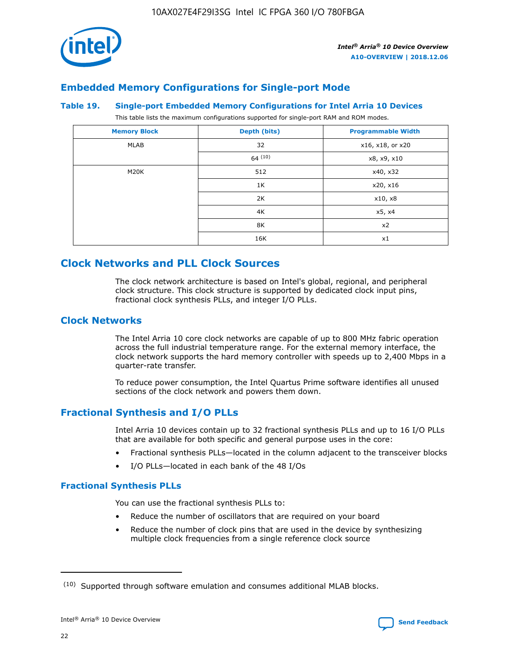

## **Embedded Memory Configurations for Single-port Mode**

## **Table 19. Single-port Embedded Memory Configurations for Intel Arria 10 Devices**

This table lists the maximum configurations supported for single-port RAM and ROM modes.

| <b>Memory Block</b> | Depth (bits) | <b>Programmable Width</b> |
|---------------------|--------------|---------------------------|
| MLAB                | 32           | x16, x18, or x20          |
|                     | 64(10)       | x8, x9, x10               |
| M20K                | 512          | x40, x32                  |
|                     | 1K           | x20, x16                  |
|                     | 2K           | x10, x8                   |
|                     | 4K           | x5, x4                    |
|                     | 8K           | x2                        |
|                     | 16K          | x1                        |

## **Clock Networks and PLL Clock Sources**

The clock network architecture is based on Intel's global, regional, and peripheral clock structure. This clock structure is supported by dedicated clock input pins, fractional clock synthesis PLLs, and integer I/O PLLs.

## **Clock Networks**

The Intel Arria 10 core clock networks are capable of up to 800 MHz fabric operation across the full industrial temperature range. For the external memory interface, the clock network supports the hard memory controller with speeds up to 2,400 Mbps in a quarter-rate transfer.

To reduce power consumption, the Intel Quartus Prime software identifies all unused sections of the clock network and powers them down.

## **Fractional Synthesis and I/O PLLs**

Intel Arria 10 devices contain up to 32 fractional synthesis PLLs and up to 16 I/O PLLs that are available for both specific and general purpose uses in the core:

- Fractional synthesis PLLs—located in the column adjacent to the transceiver blocks
- I/O PLLs—located in each bank of the 48 I/Os

## **Fractional Synthesis PLLs**

You can use the fractional synthesis PLLs to:

- Reduce the number of oscillators that are required on your board
- Reduce the number of clock pins that are used in the device by synthesizing multiple clock frequencies from a single reference clock source

<sup>(10)</sup> Supported through software emulation and consumes additional MLAB blocks.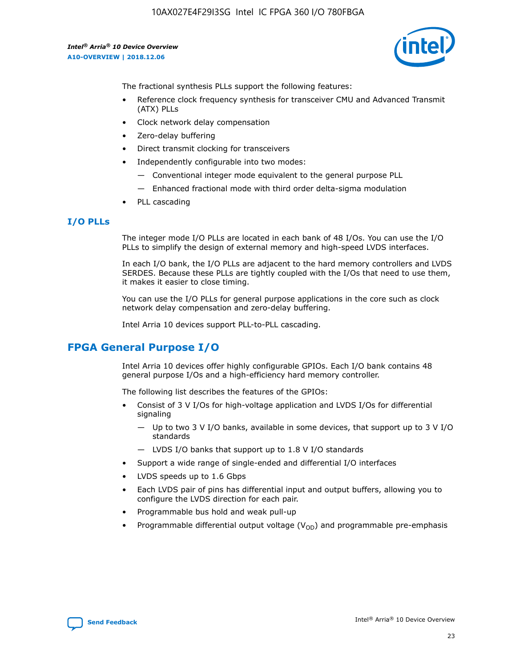10AX027E4F29I3SG Intel IC FPGA 360 I/O 780FBGA

*Intel® Arria® 10 Device Overview* **A10-OVERVIEW | 2018.12.06**



The fractional synthesis PLLs support the following features:

- Reference clock frequency synthesis for transceiver CMU and Advanced Transmit (ATX) PLLs
- Clock network delay compensation
- Zero-delay buffering
- Direct transmit clocking for transceivers
- Independently configurable into two modes:
	- Conventional integer mode equivalent to the general purpose PLL
	- Enhanced fractional mode with third order delta-sigma modulation
- PLL cascading

## **I/O PLLs**

The integer mode I/O PLLs are located in each bank of 48 I/Os. You can use the I/O PLLs to simplify the design of external memory and high-speed LVDS interfaces.

In each I/O bank, the I/O PLLs are adjacent to the hard memory controllers and LVDS SERDES. Because these PLLs are tightly coupled with the I/Os that need to use them, it makes it easier to close timing.

You can use the I/O PLLs for general purpose applications in the core such as clock network delay compensation and zero-delay buffering.

Intel Arria 10 devices support PLL-to-PLL cascading.

## **FPGA General Purpose I/O**

Intel Arria 10 devices offer highly configurable GPIOs. Each I/O bank contains 48 general purpose I/Os and a high-efficiency hard memory controller.

The following list describes the features of the GPIOs:

- Consist of 3 V I/Os for high-voltage application and LVDS I/Os for differential signaling
	- Up to two 3 V I/O banks, available in some devices, that support up to 3 V I/O standards
	- LVDS I/O banks that support up to 1.8 V I/O standards
- Support a wide range of single-ended and differential I/O interfaces
- LVDS speeds up to 1.6 Gbps
- Each LVDS pair of pins has differential input and output buffers, allowing you to configure the LVDS direction for each pair.
- Programmable bus hold and weak pull-up
- Programmable differential output voltage  $(V_{OD})$  and programmable pre-emphasis

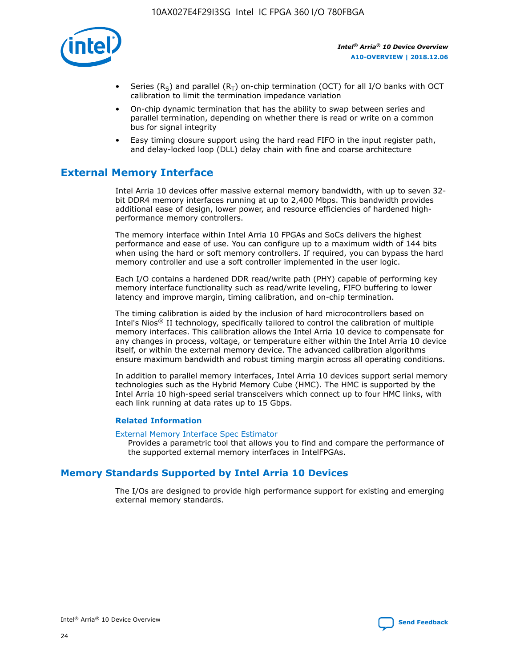

- Series (R<sub>S</sub>) and parallel (R<sub>T</sub>) on-chip termination (OCT) for all I/O banks with OCT calibration to limit the termination impedance variation
- On-chip dynamic termination that has the ability to swap between series and parallel termination, depending on whether there is read or write on a common bus for signal integrity
- Easy timing closure support using the hard read FIFO in the input register path, and delay-locked loop (DLL) delay chain with fine and coarse architecture

## **External Memory Interface**

Intel Arria 10 devices offer massive external memory bandwidth, with up to seven 32 bit DDR4 memory interfaces running at up to 2,400 Mbps. This bandwidth provides additional ease of design, lower power, and resource efficiencies of hardened highperformance memory controllers.

The memory interface within Intel Arria 10 FPGAs and SoCs delivers the highest performance and ease of use. You can configure up to a maximum width of 144 bits when using the hard or soft memory controllers. If required, you can bypass the hard memory controller and use a soft controller implemented in the user logic.

Each I/O contains a hardened DDR read/write path (PHY) capable of performing key memory interface functionality such as read/write leveling, FIFO buffering to lower latency and improve margin, timing calibration, and on-chip termination.

The timing calibration is aided by the inclusion of hard microcontrollers based on Intel's Nios® II technology, specifically tailored to control the calibration of multiple memory interfaces. This calibration allows the Intel Arria 10 device to compensate for any changes in process, voltage, or temperature either within the Intel Arria 10 device itself, or within the external memory device. The advanced calibration algorithms ensure maximum bandwidth and robust timing margin across all operating conditions.

In addition to parallel memory interfaces, Intel Arria 10 devices support serial memory technologies such as the Hybrid Memory Cube (HMC). The HMC is supported by the Intel Arria 10 high-speed serial transceivers which connect up to four HMC links, with each link running at data rates up to 15 Gbps.

## **Related Information**

#### [External Memory Interface Spec Estimator](http://www.altera.com/technology/memory/estimator/mem-emif-index.html)

Provides a parametric tool that allows you to find and compare the performance of the supported external memory interfaces in IntelFPGAs.

## **Memory Standards Supported by Intel Arria 10 Devices**

The I/Os are designed to provide high performance support for existing and emerging external memory standards.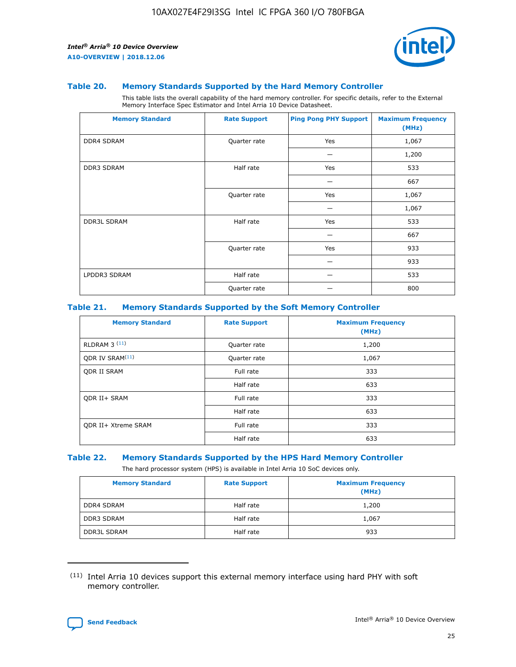

#### **Table 20. Memory Standards Supported by the Hard Memory Controller**

This table lists the overall capability of the hard memory controller. For specific details, refer to the External Memory Interface Spec Estimator and Intel Arria 10 Device Datasheet.

| <b>Memory Standard</b> | <b>Rate Support</b> | <b>Ping Pong PHY Support</b> | <b>Maximum Frequency</b><br>(MHz) |
|------------------------|---------------------|------------------------------|-----------------------------------|
| <b>DDR4 SDRAM</b>      | Quarter rate        | Yes                          | 1,067                             |
|                        |                     |                              | 1,200                             |
| DDR3 SDRAM             | Half rate           | Yes                          | 533                               |
|                        |                     |                              | 667                               |
|                        | Quarter rate        | Yes                          | 1,067                             |
|                        |                     |                              | 1,067                             |
| <b>DDR3L SDRAM</b>     | Half rate           | Yes                          | 533                               |
|                        |                     |                              | 667                               |
|                        | Quarter rate        | Yes                          | 933                               |
|                        |                     |                              | 933                               |
| LPDDR3 SDRAM           | Half rate           |                              | 533                               |
|                        | Quarter rate        |                              | 800                               |

## **Table 21. Memory Standards Supported by the Soft Memory Controller**

| <b>Memory Standard</b>      | <b>Rate Support</b> | <b>Maximum Frequency</b><br>(MHz) |
|-----------------------------|---------------------|-----------------------------------|
| <b>RLDRAM 3 (11)</b>        | Quarter rate        | 1,200                             |
| ODR IV SRAM <sup>(11)</sup> | Quarter rate        | 1,067                             |
| <b>ODR II SRAM</b>          | Full rate           | 333                               |
|                             | Half rate           | 633                               |
| <b>ODR II+ SRAM</b>         | Full rate           | 333                               |
|                             | Half rate           | 633                               |
| <b>ODR II+ Xtreme SRAM</b>  | Full rate           | 333                               |
|                             | Half rate           | 633                               |

## **Table 22. Memory Standards Supported by the HPS Hard Memory Controller**

The hard processor system (HPS) is available in Intel Arria 10 SoC devices only.

| <b>Memory Standard</b> | <b>Rate Support</b> | <b>Maximum Frequency</b><br>(MHz) |
|------------------------|---------------------|-----------------------------------|
| <b>DDR4 SDRAM</b>      | Half rate           | 1,200                             |
| <b>DDR3 SDRAM</b>      | Half rate           | 1,067                             |
| <b>DDR3L SDRAM</b>     | Half rate           | 933                               |

<sup>(11)</sup> Intel Arria 10 devices support this external memory interface using hard PHY with soft memory controller.

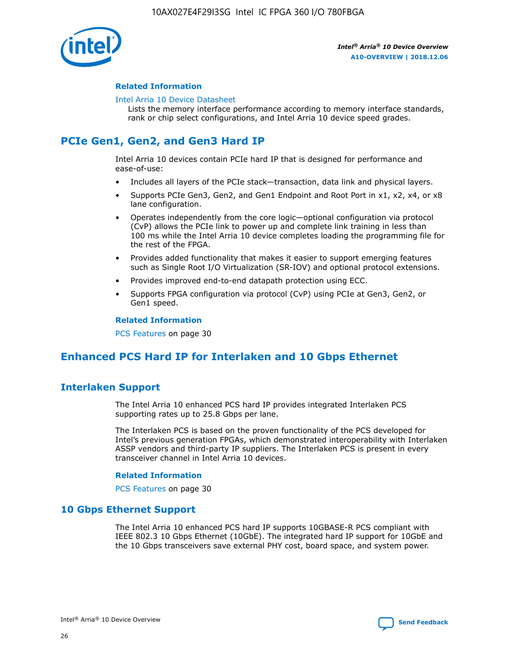

## **Related Information**

#### [Intel Arria 10 Device Datasheet](https://www.intel.com/content/www/us/en/programmable/documentation/mcn1413182292568.html#mcn1413182153340)

Lists the memory interface performance according to memory interface standards, rank or chip select configurations, and Intel Arria 10 device speed grades.

# **PCIe Gen1, Gen2, and Gen3 Hard IP**

Intel Arria 10 devices contain PCIe hard IP that is designed for performance and ease-of-use:

- Includes all layers of the PCIe stack—transaction, data link and physical layers.
- Supports PCIe Gen3, Gen2, and Gen1 Endpoint and Root Port in x1, x2, x4, or x8 lane configuration.
- Operates independently from the core logic—optional configuration via protocol (CvP) allows the PCIe link to power up and complete link training in less than 100 ms while the Intel Arria 10 device completes loading the programming file for the rest of the FPGA.
- Provides added functionality that makes it easier to support emerging features such as Single Root I/O Virtualization (SR-IOV) and optional protocol extensions.
- Provides improved end-to-end datapath protection using ECC.
- Supports FPGA configuration via protocol (CvP) using PCIe at Gen3, Gen2, or Gen1 speed.

#### **Related Information**

PCS Features on page 30

## **Enhanced PCS Hard IP for Interlaken and 10 Gbps Ethernet**

## **Interlaken Support**

The Intel Arria 10 enhanced PCS hard IP provides integrated Interlaken PCS supporting rates up to 25.8 Gbps per lane.

The Interlaken PCS is based on the proven functionality of the PCS developed for Intel's previous generation FPGAs, which demonstrated interoperability with Interlaken ASSP vendors and third-party IP suppliers. The Interlaken PCS is present in every transceiver channel in Intel Arria 10 devices.

## **Related Information**

PCS Features on page 30

## **10 Gbps Ethernet Support**

The Intel Arria 10 enhanced PCS hard IP supports 10GBASE-R PCS compliant with IEEE 802.3 10 Gbps Ethernet (10GbE). The integrated hard IP support for 10GbE and the 10 Gbps transceivers save external PHY cost, board space, and system power.

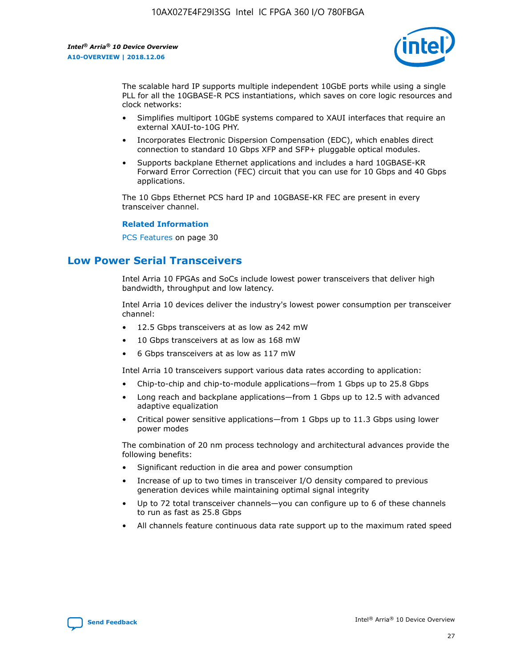

The scalable hard IP supports multiple independent 10GbE ports while using a single PLL for all the 10GBASE-R PCS instantiations, which saves on core logic resources and clock networks:

- Simplifies multiport 10GbE systems compared to XAUI interfaces that require an external XAUI-to-10G PHY.
- Incorporates Electronic Dispersion Compensation (EDC), which enables direct connection to standard 10 Gbps XFP and SFP+ pluggable optical modules.
- Supports backplane Ethernet applications and includes a hard 10GBASE-KR Forward Error Correction (FEC) circuit that you can use for 10 Gbps and 40 Gbps applications.

The 10 Gbps Ethernet PCS hard IP and 10GBASE-KR FEC are present in every transceiver channel.

## **Related Information**

PCS Features on page 30

## **Low Power Serial Transceivers**

Intel Arria 10 FPGAs and SoCs include lowest power transceivers that deliver high bandwidth, throughput and low latency.

Intel Arria 10 devices deliver the industry's lowest power consumption per transceiver channel:

- 12.5 Gbps transceivers at as low as 242 mW
- 10 Gbps transceivers at as low as 168 mW
- 6 Gbps transceivers at as low as 117 mW

Intel Arria 10 transceivers support various data rates according to application:

- Chip-to-chip and chip-to-module applications—from 1 Gbps up to 25.8 Gbps
- Long reach and backplane applications—from 1 Gbps up to 12.5 with advanced adaptive equalization
- Critical power sensitive applications—from 1 Gbps up to 11.3 Gbps using lower power modes

The combination of 20 nm process technology and architectural advances provide the following benefits:

- Significant reduction in die area and power consumption
- Increase of up to two times in transceiver I/O density compared to previous generation devices while maintaining optimal signal integrity
- Up to 72 total transceiver channels—you can configure up to 6 of these channels to run as fast as 25.8 Gbps
- All channels feature continuous data rate support up to the maximum rated speed

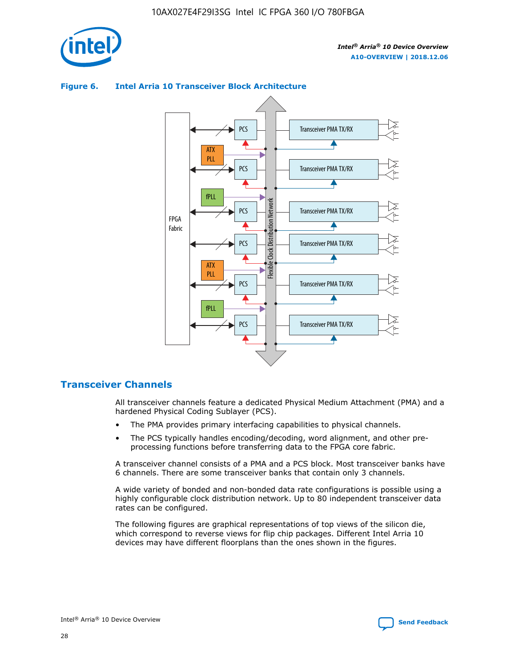

## Transceiver PMA TX/RX PCS ATX PLL Transceiver PMA TX/RX PCS fPLL Network Flexible Clock Distribution Network PCS Transceiver PMA TX/RX FPGA **Clock Distribution** Fabric PCS Transceiver PMA TX/RX ATX Flexible PLL PCS Transceiver PMA TX/RX ▲ fPLL Transceiver PMA TX/RX PCS 4

## **Figure 6. Intel Arria 10 Transceiver Block Architecture**

## **Transceiver Channels**

All transceiver channels feature a dedicated Physical Medium Attachment (PMA) and a hardened Physical Coding Sublayer (PCS).

- The PMA provides primary interfacing capabilities to physical channels.
- The PCS typically handles encoding/decoding, word alignment, and other preprocessing functions before transferring data to the FPGA core fabric.

A transceiver channel consists of a PMA and a PCS block. Most transceiver banks have 6 channels. There are some transceiver banks that contain only 3 channels.

A wide variety of bonded and non-bonded data rate configurations is possible using a highly configurable clock distribution network. Up to 80 independent transceiver data rates can be configured.

The following figures are graphical representations of top views of the silicon die, which correspond to reverse views for flip chip packages. Different Intel Arria 10 devices may have different floorplans than the ones shown in the figures.

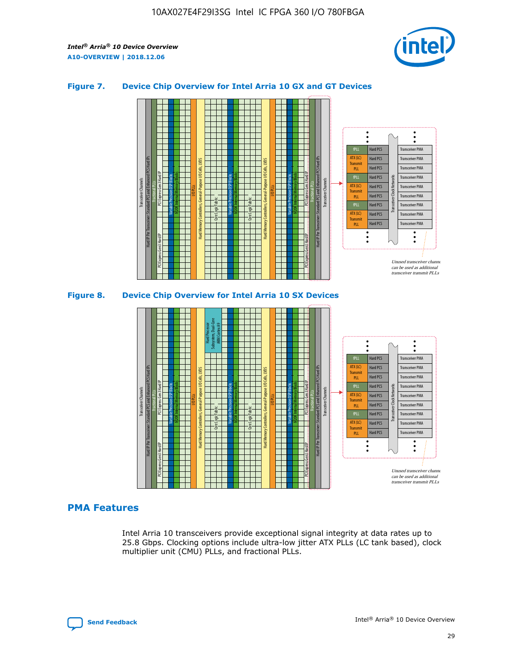

## **Figure 7. Device Chip Overview for Intel Arria 10 GX and GT Devices**





## **PMA Features**

Intel Arria 10 transceivers provide exceptional signal integrity at data rates up to 25.8 Gbps. Clocking options include ultra-low jitter ATX PLLs (LC tank based), clock multiplier unit (CMU) PLLs, and fractional PLLs.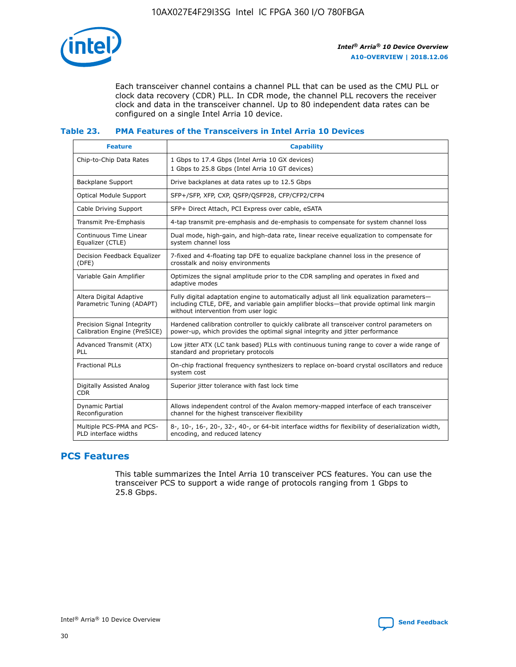

Each transceiver channel contains a channel PLL that can be used as the CMU PLL or clock data recovery (CDR) PLL. In CDR mode, the channel PLL recovers the receiver clock and data in the transceiver channel. Up to 80 independent data rates can be configured on a single Intel Arria 10 device.

## **Table 23. PMA Features of the Transceivers in Intel Arria 10 Devices**

| <b>Feature</b>                                             | <b>Capability</b>                                                                                                                                                                                                             |
|------------------------------------------------------------|-------------------------------------------------------------------------------------------------------------------------------------------------------------------------------------------------------------------------------|
| Chip-to-Chip Data Rates                                    | 1 Gbps to 17.4 Gbps (Intel Arria 10 GX devices)<br>1 Gbps to 25.8 Gbps (Intel Arria 10 GT devices)                                                                                                                            |
| Backplane Support                                          | Drive backplanes at data rates up to 12.5 Gbps                                                                                                                                                                                |
| <b>Optical Module Support</b>                              | SFP+/SFP, XFP, CXP, QSFP/QSFP28, CFP/CFP2/CFP4                                                                                                                                                                                |
| Cable Driving Support                                      | SFP+ Direct Attach, PCI Express over cable, eSATA                                                                                                                                                                             |
| Transmit Pre-Emphasis                                      | 4-tap transmit pre-emphasis and de-emphasis to compensate for system channel loss                                                                                                                                             |
| Continuous Time Linear<br>Equalizer (CTLE)                 | Dual mode, high-gain, and high-data rate, linear receive equalization to compensate for<br>system channel loss                                                                                                                |
| Decision Feedback Equalizer<br>(DFE)                       | 7-fixed and 4-floating tap DFE to equalize backplane channel loss in the presence of<br>crosstalk and noisy environments                                                                                                      |
| Variable Gain Amplifier                                    | Optimizes the signal amplitude prior to the CDR sampling and operates in fixed and<br>adaptive modes                                                                                                                          |
| Altera Digital Adaptive<br>Parametric Tuning (ADAPT)       | Fully digital adaptation engine to automatically adjust all link equalization parameters-<br>including CTLE, DFE, and variable gain amplifier blocks—that provide optimal link margin<br>without intervention from user logic |
| Precision Signal Integrity<br>Calibration Engine (PreSICE) | Hardened calibration controller to quickly calibrate all transceiver control parameters on<br>power-up, which provides the optimal signal integrity and jitter performance                                                    |
| Advanced Transmit (ATX)<br>PLL                             | Low jitter ATX (LC tank based) PLLs with continuous tuning range to cover a wide range of<br>standard and proprietary protocols                                                                                               |
| <b>Fractional PLLs</b>                                     | On-chip fractional frequency synthesizers to replace on-board crystal oscillators and reduce<br>system cost                                                                                                                   |
| Digitally Assisted Analog<br><b>CDR</b>                    | Superior jitter tolerance with fast lock time                                                                                                                                                                                 |
| Dynamic Partial<br>Reconfiguration                         | Allows independent control of the Avalon memory-mapped interface of each transceiver<br>channel for the highest transceiver flexibility                                                                                       |
| Multiple PCS-PMA and PCS-<br>PLD interface widths          | 8-, 10-, 16-, 20-, 32-, 40-, or 64-bit interface widths for flexibility of deserialization width,<br>encoding, and reduced latency                                                                                            |

## **PCS Features**

This table summarizes the Intel Arria 10 transceiver PCS features. You can use the transceiver PCS to support a wide range of protocols ranging from 1 Gbps to 25.8 Gbps.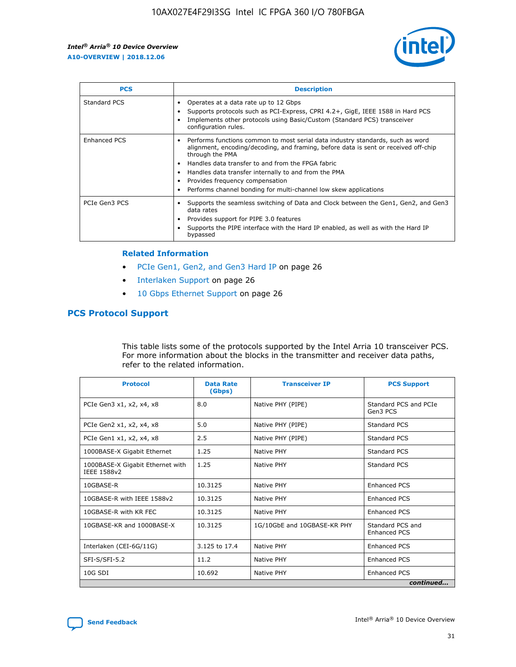

| <b>PCS</b>          | <b>Description</b>                                                                                                                                                                                                                                                                                                                                                                                             |
|---------------------|----------------------------------------------------------------------------------------------------------------------------------------------------------------------------------------------------------------------------------------------------------------------------------------------------------------------------------------------------------------------------------------------------------------|
| Standard PCS        | Operates at a data rate up to 12 Gbps<br>Supports protocols such as PCI-Express, CPRI 4.2+, GigE, IEEE 1588 in Hard PCS<br>Implements other protocols using Basic/Custom (Standard PCS) transceiver<br>configuration rules.                                                                                                                                                                                    |
| <b>Enhanced PCS</b> | Performs functions common to most serial data industry standards, such as word<br>alignment, encoding/decoding, and framing, before data is sent or received off-chip<br>through the PMA<br>• Handles data transfer to and from the FPGA fabric<br>Handles data transfer internally to and from the PMA<br>Provides frequency compensation<br>Performs channel bonding for multi-channel low skew applications |
| PCIe Gen3 PCS       | Supports the seamless switching of Data and Clock between the Gen1, Gen2, and Gen3<br>data rates<br>Provides support for PIPE 3.0 features<br>Supports the PIPE interface with the Hard IP enabled, as well as with the Hard IP<br>bypassed                                                                                                                                                                    |

#### **Related Information**

- PCIe Gen1, Gen2, and Gen3 Hard IP on page 26
- Interlaken Support on page 26
- 10 Gbps Ethernet Support on page 26

## **PCS Protocol Support**

This table lists some of the protocols supported by the Intel Arria 10 transceiver PCS. For more information about the blocks in the transmitter and receiver data paths, refer to the related information.

| <b>Protocol</b>                                 | <b>Data Rate</b><br>(Gbps) | <b>Transceiver IP</b>       | <b>PCS Support</b>                      |
|-------------------------------------------------|----------------------------|-----------------------------|-----------------------------------------|
| PCIe Gen3 x1, x2, x4, x8                        | 8.0                        | Native PHY (PIPE)           | Standard PCS and PCIe<br>Gen3 PCS       |
| PCIe Gen2 x1, x2, x4, x8                        | 5.0                        | Native PHY (PIPE)           | <b>Standard PCS</b>                     |
| PCIe Gen1 x1, x2, x4, x8                        | 2.5                        | Native PHY (PIPE)           | Standard PCS                            |
| 1000BASE-X Gigabit Ethernet                     | 1.25                       | Native PHY                  | <b>Standard PCS</b>                     |
| 1000BASE-X Gigabit Ethernet with<br>IEEE 1588v2 | 1.25                       | Native PHY                  | Standard PCS                            |
| 10GBASE-R                                       | 10.3125                    | Native PHY                  | <b>Enhanced PCS</b>                     |
| 10GBASE-R with IEEE 1588v2                      | 10.3125                    | Native PHY                  | <b>Enhanced PCS</b>                     |
| 10GBASE-R with KR FEC                           | 10.3125                    | Native PHY                  | <b>Enhanced PCS</b>                     |
| 10GBASE-KR and 1000BASE-X                       | 10.3125                    | 1G/10GbE and 10GBASE-KR PHY | Standard PCS and<br><b>Enhanced PCS</b> |
| Interlaken (CEI-6G/11G)                         | 3.125 to 17.4              | Native PHY                  | <b>Enhanced PCS</b>                     |
| SFI-S/SFI-5.2                                   | 11.2                       | Native PHY                  | <b>Enhanced PCS</b>                     |
| $10G$ SDI                                       | 10.692                     | Native PHY                  | <b>Enhanced PCS</b>                     |
|                                                 |                            |                             | continued                               |

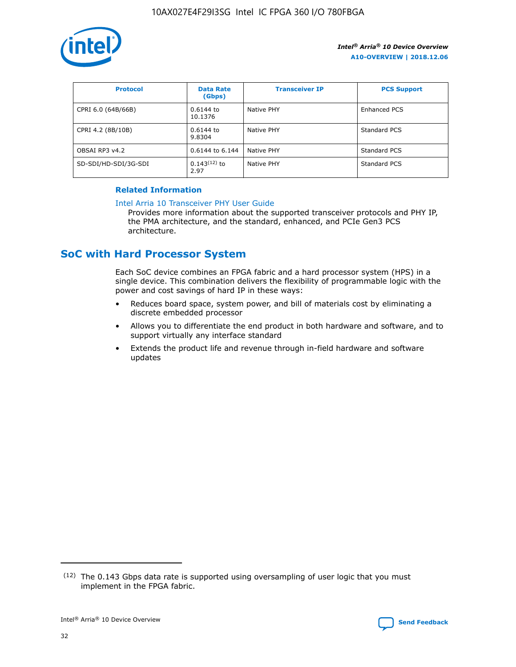

| <b>Protocol</b>      | <b>Data Rate</b><br>(Gbps) | <b>Transceiver IP</b> | <b>PCS Support</b>  |
|----------------------|----------------------------|-----------------------|---------------------|
| CPRI 6.0 (64B/66B)   | 0.6144 to<br>10.1376       | Native PHY            | <b>Enhanced PCS</b> |
| CPRI 4.2 (8B/10B)    | 0.6144 to<br>9.8304        | Native PHY            | Standard PCS        |
| OBSAI RP3 v4.2       | 0.6144 to 6.144            | Native PHY            | Standard PCS        |
| SD-SDI/HD-SDI/3G-SDI | $0.143(12)$ to<br>2.97     | Native PHY            | Standard PCS        |

## **Related Information**

#### [Intel Arria 10 Transceiver PHY User Guide](https://www.intel.com/content/www/us/en/programmable/documentation/nik1398707230472.html#nik1398707091164)

Provides more information about the supported transceiver protocols and PHY IP, the PMA architecture, and the standard, enhanced, and PCIe Gen3 PCS architecture.

## **SoC with Hard Processor System**

Each SoC device combines an FPGA fabric and a hard processor system (HPS) in a single device. This combination delivers the flexibility of programmable logic with the power and cost savings of hard IP in these ways:

- Reduces board space, system power, and bill of materials cost by eliminating a discrete embedded processor
- Allows you to differentiate the end product in both hardware and software, and to support virtually any interface standard
- Extends the product life and revenue through in-field hardware and software updates

 $(12)$  The 0.143 Gbps data rate is supported using oversampling of user logic that you must implement in the FPGA fabric.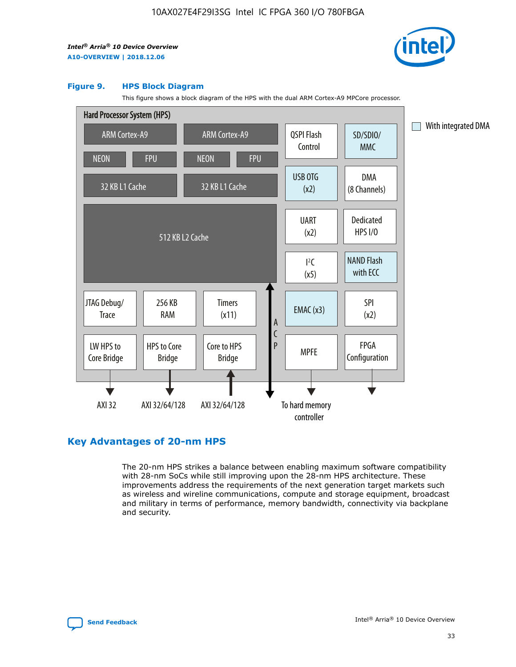

#### **Figure 9. HPS Block Diagram**

This figure shows a block diagram of the HPS with the dual ARM Cortex-A9 MPCore processor.



## **Key Advantages of 20-nm HPS**

The 20-nm HPS strikes a balance between enabling maximum software compatibility with 28-nm SoCs while still improving upon the 28-nm HPS architecture. These improvements address the requirements of the next generation target markets such as wireless and wireline communications, compute and storage equipment, broadcast and military in terms of performance, memory bandwidth, connectivity via backplane and security.

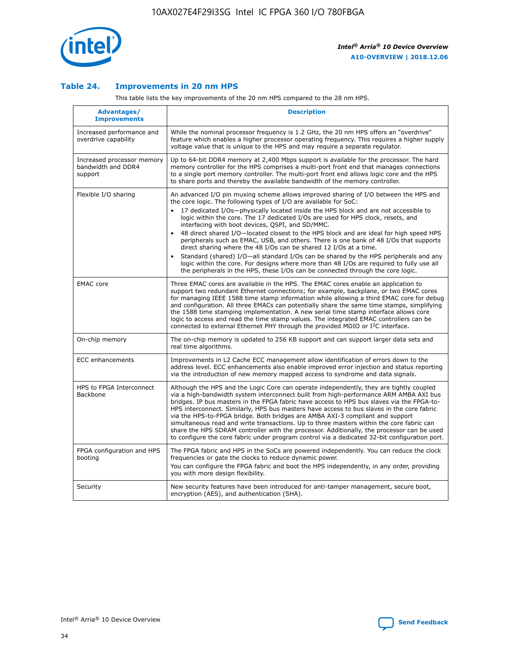

## **Table 24. Improvements in 20 nm HPS**

This table lists the key improvements of the 20 nm HPS compared to the 28 nm HPS.

| Advantages/<br><b>Improvements</b>                          | <b>Description</b>                                                                                                                                                                                                                                                                                                                                                                                                                                                                                                                                                                                                                                                                                                                                                                                                                                                                                                                   |
|-------------------------------------------------------------|--------------------------------------------------------------------------------------------------------------------------------------------------------------------------------------------------------------------------------------------------------------------------------------------------------------------------------------------------------------------------------------------------------------------------------------------------------------------------------------------------------------------------------------------------------------------------------------------------------------------------------------------------------------------------------------------------------------------------------------------------------------------------------------------------------------------------------------------------------------------------------------------------------------------------------------|
| Increased performance and<br>overdrive capability           | While the nominal processor frequency is 1.2 GHz, the 20 nm HPS offers an "overdrive"<br>feature which enables a higher processor operating frequency. This requires a higher supply<br>voltage value that is unique to the HPS and may require a separate regulator.                                                                                                                                                                                                                                                                                                                                                                                                                                                                                                                                                                                                                                                                |
| Increased processor memory<br>bandwidth and DDR4<br>support | Up to 64-bit DDR4 memory at 2,400 Mbps support is available for the processor. The hard<br>memory controller for the HPS comprises a multi-port front end that manages connections<br>to a single port memory controller. The multi-port front end allows logic core and the HPS<br>to share ports and thereby the available bandwidth of the memory controller.                                                                                                                                                                                                                                                                                                                                                                                                                                                                                                                                                                     |
| Flexible I/O sharing                                        | An advanced I/O pin muxing scheme allows improved sharing of I/O between the HPS and<br>the core logic. The following types of I/O are available for SoC:<br>17 dedicated I/Os-physically located inside the HPS block and are not accessible to<br>logic within the core. The 17 dedicated I/Os are used for HPS clock, resets, and<br>interfacing with boot devices, QSPI, and SD/MMC.<br>48 direct shared I/O-located closest to the HPS block and are ideal for high speed HPS<br>$\bullet$<br>peripherals such as EMAC, USB, and others. There is one bank of 48 I/Os that supports<br>direct sharing where the 48 I/Os can be shared 12 I/Os at a time.<br>Standard (shared) I/O-all standard I/Os can be shared by the HPS peripherals and any<br>logic within the core. For designs where more than 48 I/Os are reguired to fully use all<br>the peripherals in the HPS, these I/Os can be connected through the core logic. |
| <b>EMAC</b> core                                            | Three EMAC cores are available in the HPS. The EMAC cores enable an application to<br>support two redundant Ethernet connections; for example, backplane, or two EMAC cores<br>for managing IEEE 1588 time stamp information while allowing a third EMAC core for debug<br>and configuration. All three EMACs can potentially share the same time stamps, simplifying<br>the 1588 time stamping implementation. A new serial time stamp interface allows core<br>logic to access and read the time stamp values. The integrated EMAC controllers can be<br>connected to external Ethernet PHY through the provided MDIO or I <sup>2</sup> C interface.                                                                                                                                                                                                                                                                               |
| On-chip memory                                              | The on-chip memory is updated to 256 KB support and can support larger data sets and<br>real time algorithms.                                                                                                                                                                                                                                                                                                                                                                                                                                                                                                                                                                                                                                                                                                                                                                                                                        |
| <b>ECC</b> enhancements                                     | Improvements in L2 Cache ECC management allow identification of errors down to the<br>address level. ECC enhancements also enable improved error injection and status reporting<br>via the introduction of new memory mapped access to syndrome and data signals.                                                                                                                                                                                                                                                                                                                                                                                                                                                                                                                                                                                                                                                                    |
| HPS to FPGA Interconnect<br>Backbone                        | Although the HPS and the Logic Core can operate independently, they are tightly coupled<br>via a high-bandwidth system interconnect built from high-performance ARM AMBA AXI bus<br>bridges. IP bus masters in the FPGA fabric have access to HPS bus slaves via the FPGA-to-<br>HPS interconnect. Similarly, HPS bus masters have access to bus slaves in the core fabric<br>via the HPS-to-FPGA bridge. Both bridges are AMBA AXI-3 compliant and support<br>simultaneous read and write transactions. Up to three masters within the core fabric can<br>share the HPS SDRAM controller with the processor. Additionally, the processor can be used<br>to configure the core fabric under program control via a dedicated 32-bit configuration port.                                                                                                                                                                               |
| FPGA configuration and HPS<br>booting                       | The FPGA fabric and HPS in the SoCs are powered independently. You can reduce the clock<br>frequencies or gate the clocks to reduce dynamic power.<br>You can configure the FPGA fabric and boot the HPS independently, in any order, providing<br>you with more design flexibility.                                                                                                                                                                                                                                                                                                                                                                                                                                                                                                                                                                                                                                                 |
| Security                                                    | New security features have been introduced for anti-tamper management, secure boot,<br>encryption (AES), and authentication (SHA).                                                                                                                                                                                                                                                                                                                                                                                                                                                                                                                                                                                                                                                                                                                                                                                                   |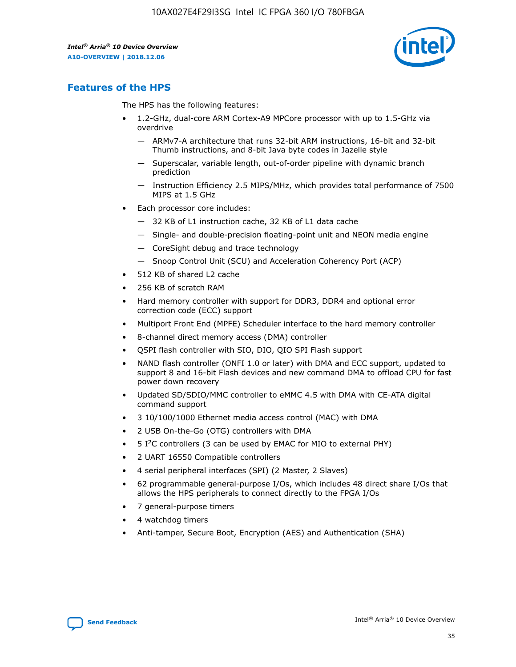

## **Features of the HPS**

The HPS has the following features:

- 1.2-GHz, dual-core ARM Cortex-A9 MPCore processor with up to 1.5-GHz via overdrive
	- ARMv7-A architecture that runs 32-bit ARM instructions, 16-bit and 32-bit Thumb instructions, and 8-bit Java byte codes in Jazelle style
	- Superscalar, variable length, out-of-order pipeline with dynamic branch prediction
	- Instruction Efficiency 2.5 MIPS/MHz, which provides total performance of 7500 MIPS at 1.5 GHz
- Each processor core includes:
	- 32 KB of L1 instruction cache, 32 KB of L1 data cache
	- Single- and double-precision floating-point unit and NEON media engine
	- CoreSight debug and trace technology
	- Snoop Control Unit (SCU) and Acceleration Coherency Port (ACP)
- 512 KB of shared L2 cache
- 256 KB of scratch RAM
- Hard memory controller with support for DDR3, DDR4 and optional error correction code (ECC) support
- Multiport Front End (MPFE) Scheduler interface to the hard memory controller
- 8-channel direct memory access (DMA) controller
- QSPI flash controller with SIO, DIO, QIO SPI Flash support
- NAND flash controller (ONFI 1.0 or later) with DMA and ECC support, updated to support 8 and 16-bit Flash devices and new command DMA to offload CPU for fast power down recovery
- Updated SD/SDIO/MMC controller to eMMC 4.5 with DMA with CE-ATA digital command support
- 3 10/100/1000 Ethernet media access control (MAC) with DMA
- 2 USB On-the-Go (OTG) controllers with DMA
- $\bullet$  5 I<sup>2</sup>C controllers (3 can be used by EMAC for MIO to external PHY)
- 2 UART 16550 Compatible controllers
- 4 serial peripheral interfaces (SPI) (2 Master, 2 Slaves)
- 62 programmable general-purpose I/Os, which includes 48 direct share I/Os that allows the HPS peripherals to connect directly to the FPGA I/Os
- 7 general-purpose timers
- 4 watchdog timers
- Anti-tamper, Secure Boot, Encryption (AES) and Authentication (SHA)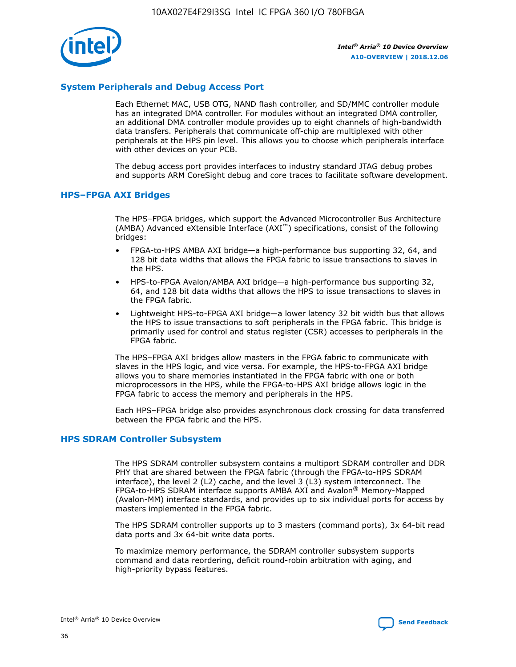

## **System Peripherals and Debug Access Port**

Each Ethernet MAC, USB OTG, NAND flash controller, and SD/MMC controller module has an integrated DMA controller. For modules without an integrated DMA controller, an additional DMA controller module provides up to eight channels of high-bandwidth data transfers. Peripherals that communicate off-chip are multiplexed with other peripherals at the HPS pin level. This allows you to choose which peripherals interface with other devices on your PCB.

The debug access port provides interfaces to industry standard JTAG debug probes and supports ARM CoreSight debug and core traces to facilitate software development.

#### **HPS–FPGA AXI Bridges**

The HPS–FPGA bridges, which support the Advanced Microcontroller Bus Architecture (AMBA) Advanced eXtensible Interface (AXI™) specifications, consist of the following bridges:

- FPGA-to-HPS AMBA AXI bridge—a high-performance bus supporting 32, 64, and 128 bit data widths that allows the FPGA fabric to issue transactions to slaves in the HPS.
- HPS-to-FPGA Avalon/AMBA AXI bridge—a high-performance bus supporting 32, 64, and 128 bit data widths that allows the HPS to issue transactions to slaves in the FPGA fabric.
- Lightweight HPS-to-FPGA AXI bridge—a lower latency 32 bit width bus that allows the HPS to issue transactions to soft peripherals in the FPGA fabric. This bridge is primarily used for control and status register (CSR) accesses to peripherals in the FPGA fabric.

The HPS–FPGA AXI bridges allow masters in the FPGA fabric to communicate with slaves in the HPS logic, and vice versa. For example, the HPS-to-FPGA AXI bridge allows you to share memories instantiated in the FPGA fabric with one or both microprocessors in the HPS, while the FPGA-to-HPS AXI bridge allows logic in the FPGA fabric to access the memory and peripherals in the HPS.

Each HPS–FPGA bridge also provides asynchronous clock crossing for data transferred between the FPGA fabric and the HPS.

#### **HPS SDRAM Controller Subsystem**

The HPS SDRAM controller subsystem contains a multiport SDRAM controller and DDR PHY that are shared between the FPGA fabric (through the FPGA-to-HPS SDRAM interface), the level 2 (L2) cache, and the level 3 (L3) system interconnect. The FPGA-to-HPS SDRAM interface supports AMBA AXI and Avalon® Memory-Mapped (Avalon-MM) interface standards, and provides up to six individual ports for access by masters implemented in the FPGA fabric.

The HPS SDRAM controller supports up to 3 masters (command ports), 3x 64-bit read data ports and 3x 64-bit write data ports.

To maximize memory performance, the SDRAM controller subsystem supports command and data reordering, deficit round-robin arbitration with aging, and high-priority bypass features.

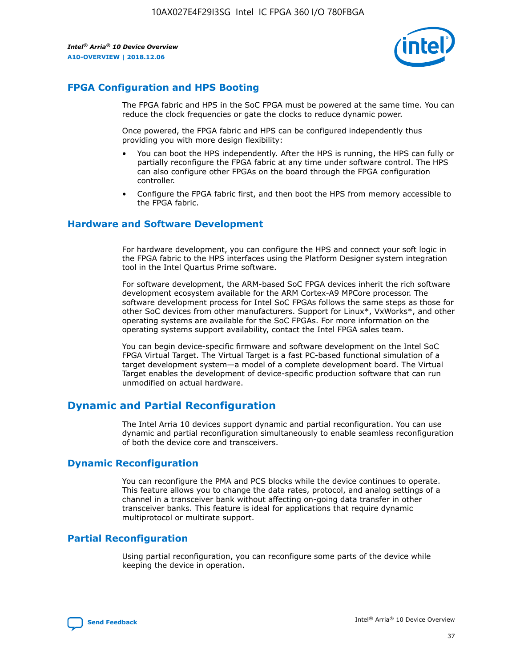

## **FPGA Configuration and HPS Booting**

The FPGA fabric and HPS in the SoC FPGA must be powered at the same time. You can reduce the clock frequencies or gate the clocks to reduce dynamic power.

Once powered, the FPGA fabric and HPS can be configured independently thus providing you with more design flexibility:

- You can boot the HPS independently. After the HPS is running, the HPS can fully or partially reconfigure the FPGA fabric at any time under software control. The HPS can also configure other FPGAs on the board through the FPGA configuration controller.
- Configure the FPGA fabric first, and then boot the HPS from memory accessible to the FPGA fabric.

## **Hardware and Software Development**

For hardware development, you can configure the HPS and connect your soft logic in the FPGA fabric to the HPS interfaces using the Platform Designer system integration tool in the Intel Quartus Prime software.

For software development, the ARM-based SoC FPGA devices inherit the rich software development ecosystem available for the ARM Cortex-A9 MPCore processor. The software development process for Intel SoC FPGAs follows the same steps as those for other SoC devices from other manufacturers. Support for Linux\*, VxWorks\*, and other operating systems are available for the SoC FPGAs. For more information on the operating systems support availability, contact the Intel FPGA sales team.

You can begin device-specific firmware and software development on the Intel SoC FPGA Virtual Target. The Virtual Target is a fast PC-based functional simulation of a target development system—a model of a complete development board. The Virtual Target enables the development of device-specific production software that can run unmodified on actual hardware.

## **Dynamic and Partial Reconfiguration**

The Intel Arria 10 devices support dynamic and partial reconfiguration. You can use dynamic and partial reconfiguration simultaneously to enable seamless reconfiguration of both the device core and transceivers.

## **Dynamic Reconfiguration**

You can reconfigure the PMA and PCS blocks while the device continues to operate. This feature allows you to change the data rates, protocol, and analog settings of a channel in a transceiver bank without affecting on-going data transfer in other transceiver banks. This feature is ideal for applications that require dynamic multiprotocol or multirate support.

## **Partial Reconfiguration**

Using partial reconfiguration, you can reconfigure some parts of the device while keeping the device in operation.

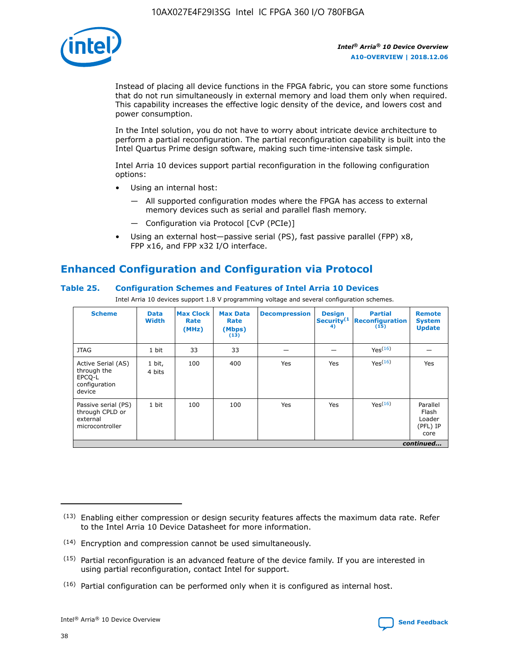

Instead of placing all device functions in the FPGA fabric, you can store some functions that do not run simultaneously in external memory and load them only when required. This capability increases the effective logic density of the device, and lowers cost and power consumption.

In the Intel solution, you do not have to worry about intricate device architecture to perform a partial reconfiguration. The partial reconfiguration capability is built into the Intel Quartus Prime design software, making such time-intensive task simple.

Intel Arria 10 devices support partial reconfiguration in the following configuration options:

- Using an internal host:
	- All supported configuration modes where the FPGA has access to external memory devices such as serial and parallel flash memory.
	- Configuration via Protocol [CvP (PCIe)]
- Using an external host—passive serial (PS), fast passive parallel (FPP) x8, FPP x16, and FPP x32 I/O interface.

# **Enhanced Configuration and Configuration via Protocol**

## **Table 25. Configuration Schemes and Features of Intel Arria 10 Devices**

Intel Arria 10 devices support 1.8 V programming voltage and several configuration schemes.

| <b>Scheme</b>                                                          | <b>Data</b><br><b>Width</b> | <b>Max Clock</b><br>Rate<br>(MHz) | <b>Max Data</b><br>Rate<br>(Mbps)<br>(13) | <b>Decompression</b> | <b>Design</b><br>Security <sup>(1</sup><br>4) | <b>Partial</b><br>Reconfiguration<br>(15) | <b>Remote</b><br><b>System</b><br><b>Update</b> |
|------------------------------------------------------------------------|-----------------------------|-----------------------------------|-------------------------------------------|----------------------|-----------------------------------------------|-------------------------------------------|-------------------------------------------------|
| <b>JTAG</b>                                                            | 1 bit                       | 33                                | 33                                        |                      |                                               | Yes <sup>(16)</sup>                       |                                                 |
| Active Serial (AS)<br>through the<br>EPCO-L<br>configuration<br>device | 1 bit,<br>4 bits            | 100                               | 400                                       | Yes                  | Yes                                           | $Y_{PS}(16)$                              | Yes                                             |
| Passive serial (PS)<br>through CPLD or<br>external<br>microcontroller  | 1 bit                       | 100                               | 100                                       | Yes                  | Yes                                           | Yes(16)                                   | Parallel<br>Flash<br>Loader<br>(PFL) IP<br>core |
|                                                                        |                             |                                   |                                           |                      |                                               |                                           | continued                                       |

<sup>(13)</sup> Enabling either compression or design security features affects the maximum data rate. Refer to the Intel Arria 10 Device Datasheet for more information.

<sup>(14)</sup> Encryption and compression cannot be used simultaneously.

 $<sup>(15)</sup>$  Partial reconfiguration is an advanced feature of the device family. If you are interested in</sup> using partial reconfiguration, contact Intel for support.

 $(16)$  Partial configuration can be performed only when it is configured as internal host.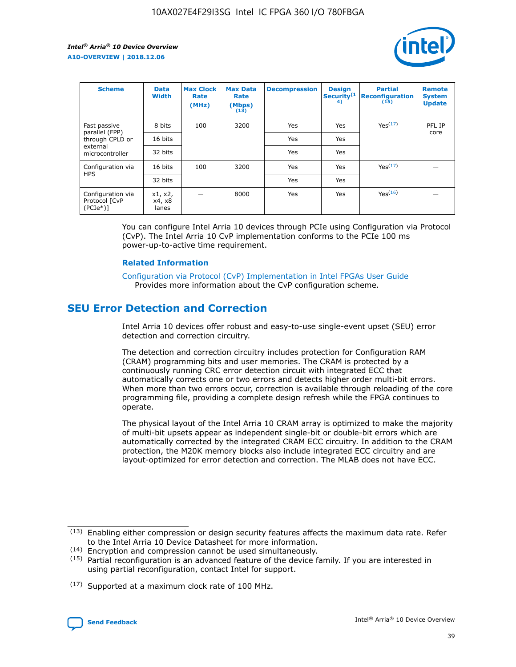

| <b>Scheme</b>                                   | <b>Data</b><br><b>Width</b> | <b>Max Clock</b><br>Rate<br>(MHz) | <b>Max Data</b><br>Rate<br>(Mbps)<br>(13) | <b>Decompression</b> | <b>Design</b><br>Security <sup>(1</sup><br>4) | <b>Partial</b><br><b>Reconfiguration</b><br>(15) | <b>Remote</b><br><b>System</b><br><b>Update</b> |
|-------------------------------------------------|-----------------------------|-----------------------------------|-------------------------------------------|----------------------|-----------------------------------------------|--------------------------------------------------|-------------------------------------------------|
| Fast passive                                    | 8 bits                      | 100                               | 3200                                      | Yes                  | Yes                                           | Yes(17)                                          | PFL IP                                          |
| parallel (FPP)<br>through CPLD or               | 16 bits                     |                                   |                                           | Yes                  | Yes                                           |                                                  | core                                            |
| external<br>microcontroller                     | 32 bits                     |                                   |                                           | Yes                  | Yes                                           |                                                  |                                                 |
| Configuration via                               | 16 bits                     | 100                               | 3200                                      | Yes                  | Yes                                           | Yes <sup>(17)</sup>                              |                                                 |
| <b>HPS</b>                                      | 32 bits                     |                                   |                                           | Yes                  | Yes                                           |                                                  |                                                 |
| Configuration via<br>Protocol [CvP<br>$(PCIe*)$ | x1, x2,<br>x4, x8<br>lanes  |                                   | 8000                                      | Yes                  | Yes                                           | Yes <sup>(16)</sup>                              |                                                 |

You can configure Intel Arria 10 devices through PCIe using Configuration via Protocol (CvP). The Intel Arria 10 CvP implementation conforms to the PCIe 100 ms power-up-to-active time requirement.

#### **Related Information**

[Configuration via Protocol \(CvP\) Implementation in Intel FPGAs User Guide](https://www.intel.com/content/www/us/en/programmable/documentation/dsu1441819344145.html#dsu1442269728522) Provides more information about the CvP configuration scheme.

## **SEU Error Detection and Correction**

Intel Arria 10 devices offer robust and easy-to-use single-event upset (SEU) error detection and correction circuitry.

The detection and correction circuitry includes protection for Configuration RAM (CRAM) programming bits and user memories. The CRAM is protected by a continuously running CRC error detection circuit with integrated ECC that automatically corrects one or two errors and detects higher order multi-bit errors. When more than two errors occur, correction is available through reloading of the core programming file, providing a complete design refresh while the FPGA continues to operate.

The physical layout of the Intel Arria 10 CRAM array is optimized to make the majority of multi-bit upsets appear as independent single-bit or double-bit errors which are automatically corrected by the integrated CRAM ECC circuitry. In addition to the CRAM protection, the M20K memory blocks also include integrated ECC circuitry and are layout-optimized for error detection and correction. The MLAB does not have ECC.

(14) Encryption and compression cannot be used simultaneously.

<sup>(17)</sup> Supported at a maximum clock rate of 100 MHz.



 $(13)$  Enabling either compression or design security features affects the maximum data rate. Refer to the Intel Arria 10 Device Datasheet for more information.

 $(15)$  Partial reconfiguration is an advanced feature of the device family. If you are interested in using partial reconfiguration, contact Intel for support.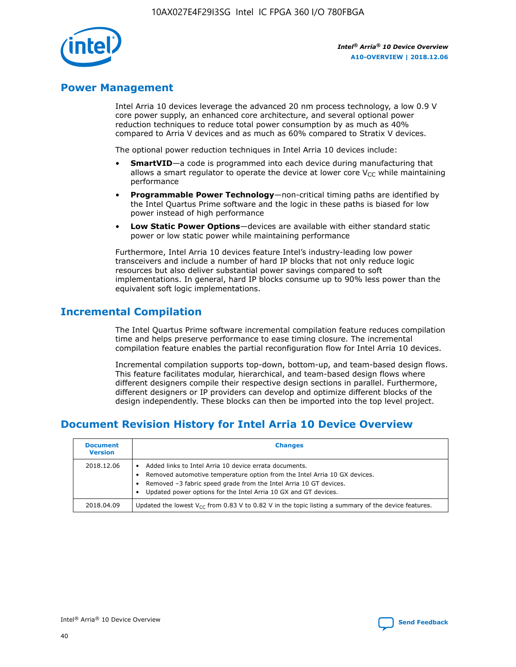

## **Power Management**

Intel Arria 10 devices leverage the advanced 20 nm process technology, a low 0.9 V core power supply, an enhanced core architecture, and several optional power reduction techniques to reduce total power consumption by as much as 40% compared to Arria V devices and as much as 60% compared to Stratix V devices.

The optional power reduction techniques in Intel Arria 10 devices include:

- **SmartVID**—a code is programmed into each device during manufacturing that allows a smart regulator to operate the device at lower core  $V_{CC}$  while maintaining performance
- **Programmable Power Technology**—non-critical timing paths are identified by the Intel Quartus Prime software and the logic in these paths is biased for low power instead of high performance
- **Low Static Power Options**—devices are available with either standard static power or low static power while maintaining performance

Furthermore, Intel Arria 10 devices feature Intel's industry-leading low power transceivers and include a number of hard IP blocks that not only reduce logic resources but also deliver substantial power savings compared to soft implementations. In general, hard IP blocks consume up to 90% less power than the equivalent soft logic implementations.

## **Incremental Compilation**

The Intel Quartus Prime software incremental compilation feature reduces compilation time and helps preserve performance to ease timing closure. The incremental compilation feature enables the partial reconfiguration flow for Intel Arria 10 devices.

Incremental compilation supports top-down, bottom-up, and team-based design flows. This feature facilitates modular, hierarchical, and team-based design flows where different designers compile their respective design sections in parallel. Furthermore, different designers or IP providers can develop and optimize different blocks of the design independently. These blocks can then be imported into the top level project.

# **Document Revision History for Intel Arria 10 Device Overview**

| <b>Document</b><br><b>Version</b> | <b>Changes</b>                                                                                                                                                                                                                                                              |
|-----------------------------------|-----------------------------------------------------------------------------------------------------------------------------------------------------------------------------------------------------------------------------------------------------------------------------|
| 2018.12.06                        | Added links to Intel Arria 10 device errata documents.<br>Removed automotive temperature option from the Intel Arria 10 GX devices.<br>Removed -3 fabric speed grade from the Intel Arria 10 GT devices.<br>Updated power options for the Intel Arria 10 GX and GT devices. |
| 2018.04.09                        | Updated the lowest $V_{CC}$ from 0.83 V to 0.82 V in the topic listing a summary of the device features.                                                                                                                                                                    |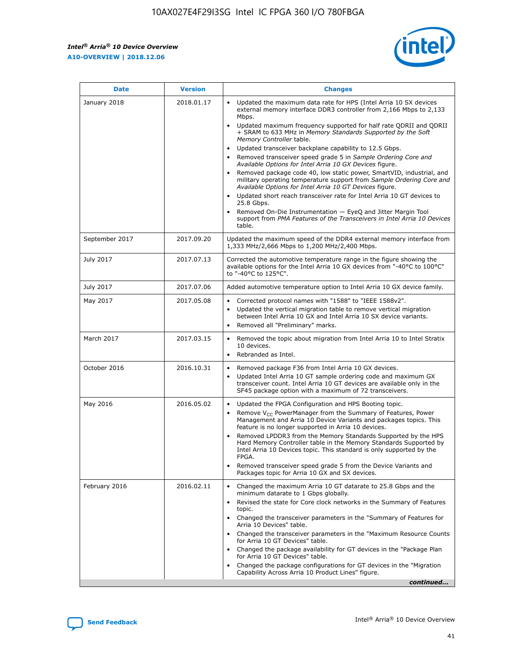$\overline{\phantom{a}}$ 

 $\mathsf{r}$ 



| January 2018<br>Updated the maximum data rate for HPS (Intel Arria 10 SX devices<br>2018.01.17<br>external memory interface DDR3 controller from 2,166 Mbps to 2,133<br>Mbps.<br>$\bullet$<br>+ SRAM to 633 MHz in Memory Standards Supported by the Soft<br>Memory Controller table.<br>Updated transceiver backplane capability to 12.5 Gbps.<br>$\bullet$<br>Removed transceiver speed grade 5 in Sample Ordering Core and<br>Available Options for Intel Arria 10 GX Devices figure.<br>Available Options for Intel Arria 10 GT Devices figure.<br>Updated short reach transceiver rate for Intel Arria 10 GT devices to<br>$\bullet$<br>25.8 Gbps.<br>Removed On-Die Instrumentation - EyeQ and Jitter Margin Tool<br>table.<br>2017.09.20<br>September 2017<br>1,333 MHz/2,666 Mbps to 1,200 MHz/2,400 Mbps.<br>July 2017<br>2017.07.13<br>Corrected the automotive temperature range in the figure showing the<br>available options for the Intel Arria 10 GX devices from "-40°C to 100°C"<br>to "-40°C to 125°C".<br>July 2017<br>2017.07.06<br>Added automotive temperature option to Intel Arria 10 GX device family.<br>2017.05.08<br>Corrected protocol names with "1588" to "IEEE 1588v2".<br>May 2017<br>$\bullet$<br>Updated the vertical migration table to remove vertical migration<br>$\bullet$<br>between Intel Arria 10 GX and Intel Arria 10 SX device variants.<br>Removed all "Preliminary" marks.<br>2017.03.15<br>March 2017<br>Removed the topic about migration from Intel Arria 10 to Intel Stratix<br>10 devices.<br>Rebranded as Intel.<br>$\bullet$<br>October 2016<br>2016.10.31<br>Removed package F36 from Intel Arria 10 GX devices.<br>$\bullet$<br>Updated Intel Arria 10 GT sample ordering code and maximum GX<br>$\bullet$<br>transceiver count. Intel Arria 10 GT devices are available only in the<br>SF45 package option with a maximum of 72 transceivers.<br>May 2016<br>2016.05.02<br>Updated the FPGA Configuration and HPS Booting topic.<br>Remove $V_{CC}$ PowerManager from the Summary of Features, Power<br>Management and Arria 10 Device Variants and packages topics. This<br>feature is no longer supported in Arria 10 devices.<br>Removed LPDDR3 from the Memory Standards Supported by the HPS<br>Hard Memory Controller table in the Memory Standards Supported by<br>Intel Arria 10 Devices topic. This standard is only supported by the<br>FPGA.<br>Removed transceiver speed grade 5 from the Device Variants and<br>Packages topic for Arria 10 GX and SX devices.<br>Changed the maximum Arria 10 GT datarate to 25.8 Gbps and the<br>February 2016<br>2016.02.11<br>minimum datarate to 1 Gbps globally.<br>Revised the state for Core clock networks in the Summary of Features<br>$\bullet$<br>topic.<br>• Changed the transceiver parameters in the "Summary of Features for<br>Arria 10 Devices" table.<br>for Arria 10 GT Devices" table.<br>• Changed the package availability for GT devices in the "Package Plan<br>for Arria 10 GT Devices" table.<br>Changed the package configurations for GT devices in the "Migration"<br>Capability Across Arria 10 Product Lines" figure. | <b>Date</b> | <b>Version</b> | <b>Changes</b>                                                                                                                                                                                                                                                                               |
|----------------------------------------------------------------------------------------------------------------------------------------------------------------------------------------------------------------------------------------------------------------------------------------------------------------------------------------------------------------------------------------------------------------------------------------------------------------------------------------------------------------------------------------------------------------------------------------------------------------------------------------------------------------------------------------------------------------------------------------------------------------------------------------------------------------------------------------------------------------------------------------------------------------------------------------------------------------------------------------------------------------------------------------------------------------------------------------------------------------------------------------------------------------------------------------------------------------------------------------------------------------------------------------------------------------------------------------------------------------------------------------------------------------------------------------------------------------------------------------------------------------------------------------------------------------------------------------------------------------------------------------------------------------------------------------------------------------------------------------------------------------------------------------------------------------------------------------------------------------------------------------------------------------------------------------------------------------------------------------------------------------------------------------------------------------------------------------------------------------------------------------------------------------------------------------------------------------------------------------------------------------------------------------------------------------------------------------------------------------------------------------------------------------------------------------------------------------------------------------------------------------------------------------------------------------------------------------------------------------------------------------------------------------------------------------------------------------------------------------------------------------------------------------------------------------------------------------------------------------------------------------------------------------------------------------------------------------------------------------------------------------------------------------------------------------------------------------------------------------------------------------------------------------|-------------|----------------|----------------------------------------------------------------------------------------------------------------------------------------------------------------------------------------------------------------------------------------------------------------------------------------------|
|                                                                                                                                                                                                                                                                                                                                                                                                                                                                                                                                                                                                                                                                                                                                                                                                                                                                                                                                                                                                                                                                                                                                                                                                                                                                                                                                                                                                                                                                                                                                                                                                                                                                                                                                                                                                                                                                                                                                                                                                                                                                                                                                                                                                                                                                                                                                                                                                                                                                                                                                                                                                                                                                                                                                                                                                                                                                                                                                                                                                                                                                                                                                                                |             |                | Updated maximum frequency supported for half rate QDRII and QDRII<br>Removed package code 40, low static power, SmartVID, industrial, and<br>military operating temperature support from Sample Ordering Core and<br>support from PMA Features of the Transceivers in Intel Arria 10 Devices |
|                                                                                                                                                                                                                                                                                                                                                                                                                                                                                                                                                                                                                                                                                                                                                                                                                                                                                                                                                                                                                                                                                                                                                                                                                                                                                                                                                                                                                                                                                                                                                                                                                                                                                                                                                                                                                                                                                                                                                                                                                                                                                                                                                                                                                                                                                                                                                                                                                                                                                                                                                                                                                                                                                                                                                                                                                                                                                                                                                                                                                                                                                                                                                                |             |                | Updated the maximum speed of the DDR4 external memory interface from                                                                                                                                                                                                                         |
|                                                                                                                                                                                                                                                                                                                                                                                                                                                                                                                                                                                                                                                                                                                                                                                                                                                                                                                                                                                                                                                                                                                                                                                                                                                                                                                                                                                                                                                                                                                                                                                                                                                                                                                                                                                                                                                                                                                                                                                                                                                                                                                                                                                                                                                                                                                                                                                                                                                                                                                                                                                                                                                                                                                                                                                                                                                                                                                                                                                                                                                                                                                                                                |             |                |                                                                                                                                                                                                                                                                                              |
|                                                                                                                                                                                                                                                                                                                                                                                                                                                                                                                                                                                                                                                                                                                                                                                                                                                                                                                                                                                                                                                                                                                                                                                                                                                                                                                                                                                                                                                                                                                                                                                                                                                                                                                                                                                                                                                                                                                                                                                                                                                                                                                                                                                                                                                                                                                                                                                                                                                                                                                                                                                                                                                                                                                                                                                                                                                                                                                                                                                                                                                                                                                                                                |             |                |                                                                                                                                                                                                                                                                                              |
|                                                                                                                                                                                                                                                                                                                                                                                                                                                                                                                                                                                                                                                                                                                                                                                                                                                                                                                                                                                                                                                                                                                                                                                                                                                                                                                                                                                                                                                                                                                                                                                                                                                                                                                                                                                                                                                                                                                                                                                                                                                                                                                                                                                                                                                                                                                                                                                                                                                                                                                                                                                                                                                                                                                                                                                                                                                                                                                                                                                                                                                                                                                                                                |             |                |                                                                                                                                                                                                                                                                                              |
|                                                                                                                                                                                                                                                                                                                                                                                                                                                                                                                                                                                                                                                                                                                                                                                                                                                                                                                                                                                                                                                                                                                                                                                                                                                                                                                                                                                                                                                                                                                                                                                                                                                                                                                                                                                                                                                                                                                                                                                                                                                                                                                                                                                                                                                                                                                                                                                                                                                                                                                                                                                                                                                                                                                                                                                                                                                                                                                                                                                                                                                                                                                                                                |             |                |                                                                                                                                                                                                                                                                                              |
|                                                                                                                                                                                                                                                                                                                                                                                                                                                                                                                                                                                                                                                                                                                                                                                                                                                                                                                                                                                                                                                                                                                                                                                                                                                                                                                                                                                                                                                                                                                                                                                                                                                                                                                                                                                                                                                                                                                                                                                                                                                                                                                                                                                                                                                                                                                                                                                                                                                                                                                                                                                                                                                                                                                                                                                                                                                                                                                                                                                                                                                                                                                                                                |             |                |                                                                                                                                                                                                                                                                                              |
|                                                                                                                                                                                                                                                                                                                                                                                                                                                                                                                                                                                                                                                                                                                                                                                                                                                                                                                                                                                                                                                                                                                                                                                                                                                                                                                                                                                                                                                                                                                                                                                                                                                                                                                                                                                                                                                                                                                                                                                                                                                                                                                                                                                                                                                                                                                                                                                                                                                                                                                                                                                                                                                                                                                                                                                                                                                                                                                                                                                                                                                                                                                                                                |             |                |                                                                                                                                                                                                                                                                                              |
|                                                                                                                                                                                                                                                                                                                                                                                                                                                                                                                                                                                                                                                                                                                                                                                                                                                                                                                                                                                                                                                                                                                                                                                                                                                                                                                                                                                                                                                                                                                                                                                                                                                                                                                                                                                                                                                                                                                                                                                                                                                                                                                                                                                                                                                                                                                                                                                                                                                                                                                                                                                                                                                                                                                                                                                                                                                                                                                                                                                                                                                                                                                                                                |             |                | Changed the transceiver parameters in the "Maximum Resource Counts"<br>continued                                                                                                                                                                                                             |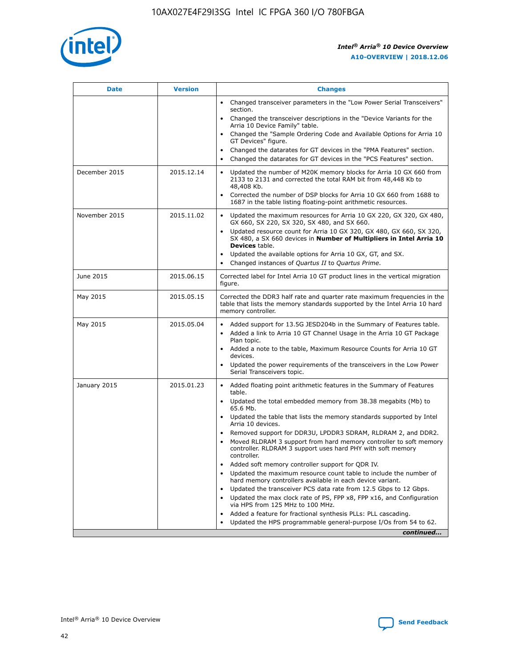

| <b>Date</b>   | <b>Version</b> | <b>Changes</b>                                                                                                                                                                   |
|---------------|----------------|----------------------------------------------------------------------------------------------------------------------------------------------------------------------------------|
|               |                | • Changed transceiver parameters in the "Low Power Serial Transceivers"<br>section.                                                                                              |
|               |                | • Changed the transceiver descriptions in the "Device Variants for the<br>Arria 10 Device Family" table.                                                                         |
|               |                | Changed the "Sample Ordering Code and Available Options for Arria 10<br>GT Devices" figure.                                                                                      |
|               |                | Changed the datarates for GT devices in the "PMA Features" section.                                                                                                              |
|               |                | Changed the datarates for GT devices in the "PCS Features" section.<br>$\bullet$                                                                                                 |
| December 2015 | 2015.12.14     | Updated the number of M20K memory blocks for Arria 10 GX 660 from<br>$\bullet$<br>2133 to 2131 and corrected the total RAM bit from 48,448 Kb to<br>48,408 Kb.                   |
|               |                | Corrected the number of DSP blocks for Arria 10 GX 660 from 1688 to<br>$\bullet$<br>1687 in the table listing floating-point arithmetic resources.                               |
| November 2015 | 2015.11.02     | Updated the maximum resources for Arria 10 GX 220, GX 320, GX 480,<br>$\bullet$<br>GX 660, SX 220, SX 320, SX 480, and SX 660.                                                   |
|               |                | Updated resource count for Arria 10 GX 320, GX 480, GX 660, SX 320,<br>$\bullet$<br>SX 480, a SX 660 devices in Number of Multipliers in Intel Arria 10<br><b>Devices</b> table. |
|               |                | Updated the available options for Arria 10 GX, GT, and SX.<br>$\bullet$                                                                                                          |
|               |                | Changed instances of Quartus II to Quartus Prime.<br>$\bullet$                                                                                                                   |
| June 2015     | 2015.06.15     | Corrected label for Intel Arria 10 GT product lines in the vertical migration<br>figure.                                                                                         |
| May 2015      | 2015.05.15     | Corrected the DDR3 half rate and quarter rate maximum frequencies in the<br>table that lists the memory standards supported by the Intel Arria 10 hard<br>memory controller.     |
| May 2015      | 2015.05.04     | • Added support for 13.5G JESD204b in the Summary of Features table.<br>• Added a link to Arria 10 GT Channel Usage in the Arria 10 GT Package<br>Plan topic.                    |
|               |                | • Added a note to the table, Maximum Resource Counts for Arria 10 GT<br>devices.                                                                                                 |
|               |                | Updated the power requirements of the transceivers in the Low Power<br>Serial Transceivers topic.                                                                                |
| January 2015  | 2015.01.23     | • Added floating point arithmetic features in the Summary of Features<br>table.                                                                                                  |
|               |                | • Updated the total embedded memory from 38.38 megabits (Mb) to<br>65.6 Mb.                                                                                                      |
|               |                | • Updated the table that lists the memory standards supported by Intel<br>Arria 10 devices.                                                                                      |
|               |                | Removed support for DDR3U, LPDDR3 SDRAM, RLDRAM 2, and DDR2.                                                                                                                     |
|               |                | Moved RLDRAM 3 support from hard memory controller to soft memory<br>controller. RLDRAM 3 support uses hard PHY with soft memory<br>controller.                                  |
|               |                | Added soft memory controller support for QDR IV.                                                                                                                                 |
|               |                | Updated the maximum resource count table to include the number of<br>hard memory controllers available in each device variant.                                                   |
|               |                | Updated the transceiver PCS data rate from 12.5 Gbps to 12 Gbps.<br>$\bullet$                                                                                                    |
|               |                | Updated the max clock rate of PS, FPP x8, FPP x16, and Configuration<br>via HPS from 125 MHz to 100 MHz.                                                                         |
|               |                | Added a feature for fractional synthesis PLLs: PLL cascading.                                                                                                                    |
|               |                | Updated the HPS programmable general-purpose I/Os from 54 to 62.                                                                                                                 |
|               |                | continued                                                                                                                                                                        |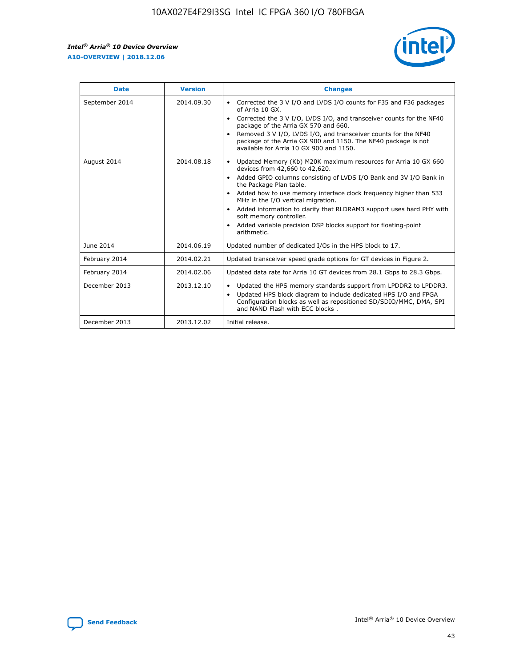

| <b>Date</b>    | <b>Version</b> | <b>Changes</b>                                                                                                                                                                                                                                                                                                                                                                                                                                                                                                                                      |
|----------------|----------------|-----------------------------------------------------------------------------------------------------------------------------------------------------------------------------------------------------------------------------------------------------------------------------------------------------------------------------------------------------------------------------------------------------------------------------------------------------------------------------------------------------------------------------------------------------|
| September 2014 | 2014.09.30     | Corrected the 3 V I/O and LVDS I/O counts for F35 and F36 packages<br>$\bullet$<br>of Arria 10 GX.<br>Corrected the 3 V I/O, LVDS I/O, and transceiver counts for the NF40<br>$\bullet$<br>package of the Arria GX 570 and 660.<br>Removed 3 V I/O, LVDS I/O, and transceiver counts for the NF40<br>package of the Arria GX 900 and 1150. The NF40 package is not<br>available for Arria 10 GX 900 and 1150.                                                                                                                                       |
| August 2014    | 2014.08.18     | Updated Memory (Kb) M20K maximum resources for Arria 10 GX 660<br>devices from 42,660 to 42,620.<br>Added GPIO columns consisting of LVDS I/O Bank and 3V I/O Bank in<br>$\bullet$<br>the Package Plan table.<br>Added how to use memory interface clock frequency higher than 533<br>$\bullet$<br>MHz in the I/O vertical migration.<br>Added information to clarify that RLDRAM3 support uses hard PHY with<br>$\bullet$<br>soft memory controller.<br>Added variable precision DSP blocks support for floating-point<br>$\bullet$<br>arithmetic. |
| June 2014      | 2014.06.19     | Updated number of dedicated I/Os in the HPS block to 17.                                                                                                                                                                                                                                                                                                                                                                                                                                                                                            |
| February 2014  | 2014.02.21     | Updated transceiver speed grade options for GT devices in Figure 2.                                                                                                                                                                                                                                                                                                                                                                                                                                                                                 |
| February 2014  | 2014.02.06     | Updated data rate for Arria 10 GT devices from 28.1 Gbps to 28.3 Gbps.                                                                                                                                                                                                                                                                                                                                                                                                                                                                              |
| December 2013  | 2013.12.10     | Updated the HPS memory standards support from LPDDR2 to LPDDR3.<br>Updated HPS block diagram to include dedicated HPS I/O and FPGA<br>$\bullet$<br>Configuration blocks as well as repositioned SD/SDIO/MMC, DMA, SPI<br>and NAND Flash with ECC blocks.                                                                                                                                                                                                                                                                                            |
| December 2013  | 2013.12.02     | Initial release.                                                                                                                                                                                                                                                                                                                                                                                                                                                                                                                                    |